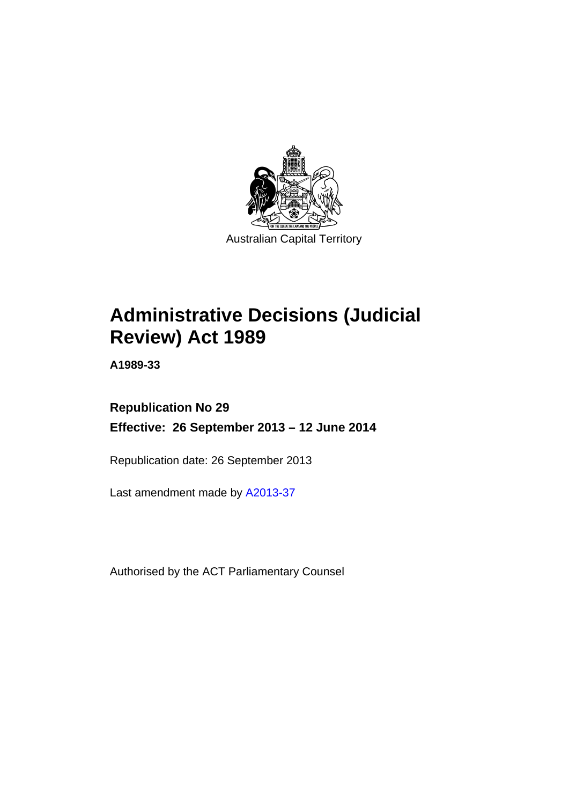

# **Administrative Decisions (Judicial Review) Act 1989**

**A1989-33** 

# **Republication No 29 Effective: 26 September 2013 – 12 June 2014**

Republication date: 26 September 2013

Last amendment made by [A2013-37](http://www.legislation.act.gov.au/a/2013-37)

Authorised by the ACT Parliamentary Counsel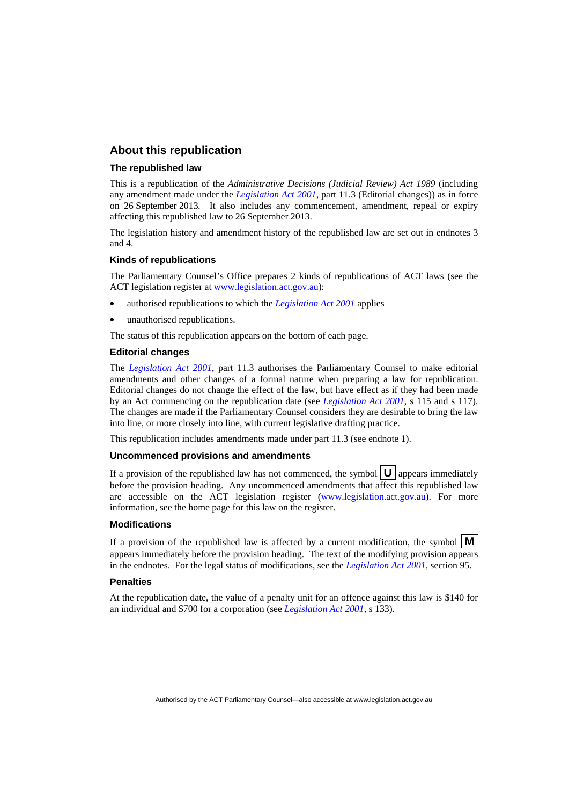# **About this republication**

#### **The republished law**

This is a republication of the *Administrative Decisions (Judicial Review) Act 1989* (including any amendment made under the *[Legislation Act 2001](http://www.legislation.act.gov.au/a/2001-14)*, part 11.3 (Editorial changes)) as in force on 26 September 2013*.* It also includes any commencement, amendment, repeal or expiry affecting this republished law to 26 September 2013.

The legislation history and amendment history of the republished law are set out in endnotes 3 and 4.

#### **Kinds of republications**

The Parliamentary Counsel's Office prepares 2 kinds of republications of ACT laws (see the ACT legislation register at [www.legislation.act.gov.au](http://www.legislation.act.gov.au/)):

- authorised republications to which the *[Legislation Act 2001](http://www.legislation.act.gov.au/a/2001-14)* applies
- unauthorised republications.

The status of this republication appears on the bottom of each page.

#### **Editorial changes**

The *[Legislation Act 2001](http://www.legislation.act.gov.au/a/2001-14)*, part 11.3 authorises the Parliamentary Counsel to make editorial amendments and other changes of a formal nature when preparing a law for republication. Editorial changes do not change the effect of the law, but have effect as if they had been made by an Act commencing on the republication date (see *[Legislation Act 2001](http://www.legislation.act.gov.au/a/2001-14)*, s 115 and s 117). The changes are made if the Parliamentary Counsel considers they are desirable to bring the law into line, or more closely into line, with current legislative drafting practice.

This republication includes amendments made under part 11.3 (see endnote 1).

#### **Uncommenced provisions and amendments**

If a provision of the republished law has not commenced, the symbol  $\mathbf{U}$  appears immediately before the provision heading. Any uncommenced amendments that affect this republished law are accessible on the ACT legislation register [\(www.legislation.act.gov.au\)](http://www.legislation.act.gov.au/). For more information, see the home page for this law on the register.

#### **Modifications**

If a provision of the republished law is affected by a current modification, the symbol  $\mathbf{M}$ appears immediately before the provision heading. The text of the modifying provision appears in the endnotes. For the legal status of modifications, see the *[Legislation Act 2001](http://www.legislation.act.gov.au/a/2001-14)*, section 95.

#### **Penalties**

At the republication date, the value of a penalty unit for an offence against this law is \$140 for an individual and \$700 for a corporation (see *[Legislation Act 2001](http://www.legislation.act.gov.au/a/2001-14)*, s 133).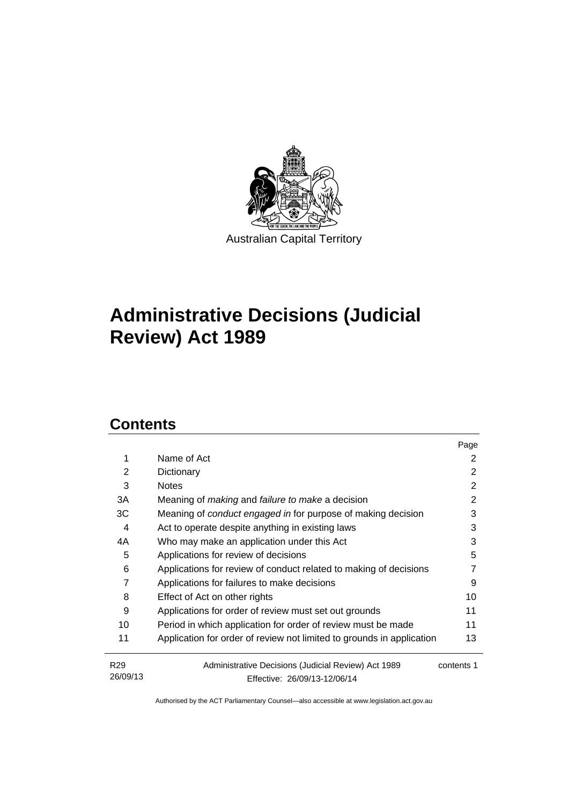

# **Administrative Decisions (Judicial Review) Act 1989**

# **Contents**

|                                                                       | Page                         |
|-----------------------------------------------------------------------|------------------------------|
| Name of Act                                                           | 2                            |
| Dictionary                                                            | 2                            |
| <b>Notes</b>                                                          | 2                            |
| Meaning of <i>making</i> and <i>failure to make</i> a decision        | 2                            |
| Meaning of <i>conduct engaged in</i> for purpose of making decision   | 3                            |
| Act to operate despite anything in existing laws                      | 3                            |
| Who may make an application under this Act                            | 3                            |
| Applications for review of decisions                                  | 5                            |
| Applications for review of conduct related to making of decisions     |                              |
| Applications for failures to make decisions                           | 9                            |
| Effect of Act on other rights                                         | 10                           |
| Applications for order of review must set out grounds                 | 11                           |
| Period in which application for order of review must be made          | 11                           |
| Application for order of review not limited to grounds in application | 13                           |
| Administrative Decisions (Judicial Review) Act 1989                   | contents 1                   |
|                                                                       | Effective: 26/09/13-12/06/14 |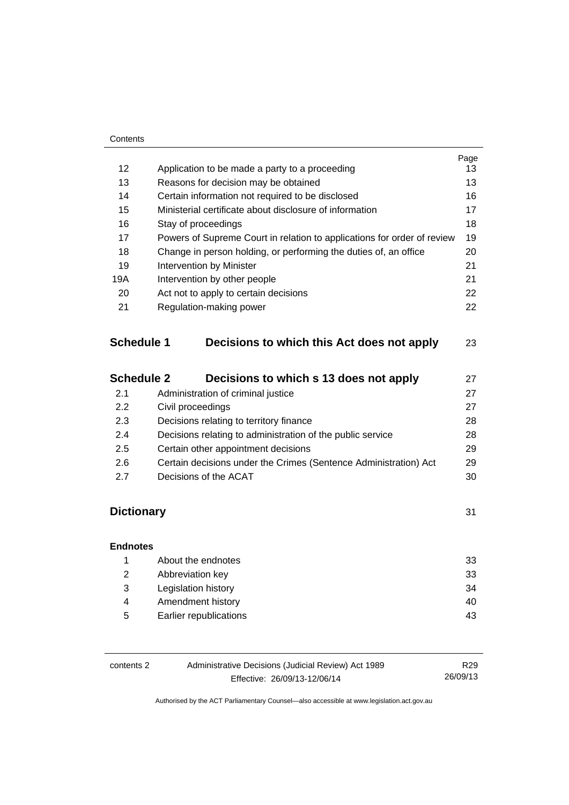|                   |                                                                         | Page |
|-------------------|-------------------------------------------------------------------------|------|
| 12                | Application to be made a party to a proceeding                          | 13   |
| 13                | Reasons for decision may be obtained                                    | 13   |
| 14                | Certain information not required to be disclosed                        | 16   |
| 15                | Ministerial certificate about disclosure of information                 | 17   |
| 16                | Stay of proceedings                                                     | 18   |
| 17                | Powers of Supreme Court in relation to applications for order of review | 19   |
| 18                | Change in person holding, or performing the duties of, an office        | 20   |
| 19                | Intervention by Minister                                                | 21   |
| 19A               | Intervention by other people                                            | 21   |
| 20                | Act not to apply to certain decisions                                   | 22   |
| 21                | Regulation-making power                                                 | 22   |
| <b>Schedule 1</b> | Decisions to which this Act does not apply                              | 23   |

| <b>Schedule 2</b> | Decisions to which s 13 does not apply                           | 27 |
|-------------------|------------------------------------------------------------------|----|
| 2.1               | Administration of criminal justice                               | 27 |
| 2.2               | Civil proceedings                                                | 27 |
| 2.3               | Decisions relating to territory finance                          | 28 |
| 2.4               | Decisions relating to administration of the public service       | 28 |
| 2.5               | Certain other appointment decisions                              | 29 |
| 2.6               | Certain decisions under the Crimes (Sentence Administration) Act | 29 |
| 27                | Decisions of the ACAT                                            | 30 |

# **Dictionary** [31](#page-34-0)

| <b>Endnotes</b> |                        |     |
|-----------------|------------------------|-----|
|                 | About the endnotes     | -33 |
| 2               | Abbreviation key       | -33 |
| 3               | Legislation history    | 34  |
| 4               | Amendment history      | 40  |
| 5               | Earlier republications | 43  |

| contents 2 | Administrative Decisions (Judicial Review) Act 1989 | R29      |
|------------|-----------------------------------------------------|----------|
|            | Effective: 26/09/13-12/06/14                        | 26/09/13 |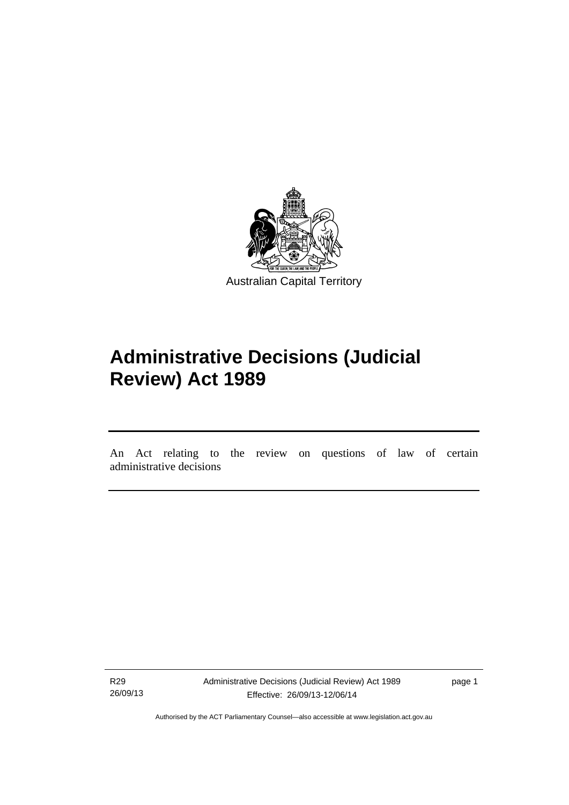

# **Administrative Decisions (Judicial Review) Act 1989**

An Act relating to the review on questions of law of certain administrative decisions

R29 26/09/13

l

Administrative Decisions (Judicial Review) Act 1989 Effective: 26/09/13-12/06/14

page 1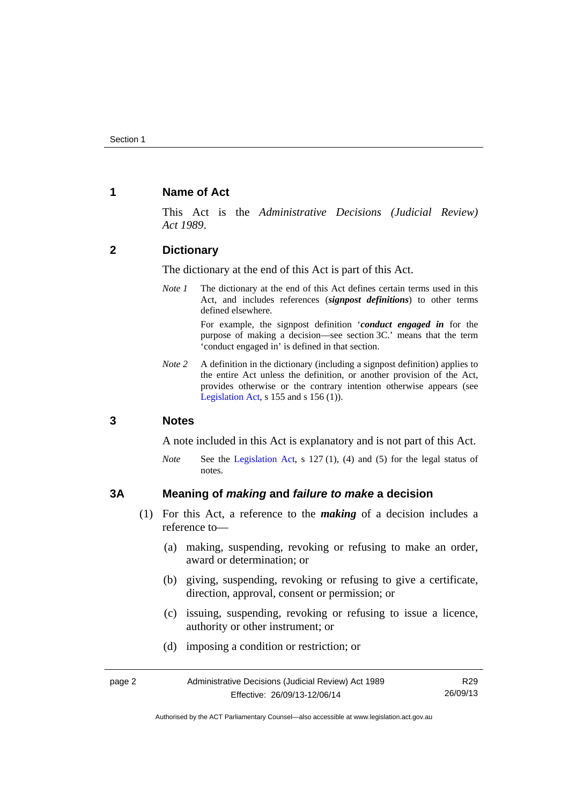# <span id="page-5-0"></span>**1 Name of Act**

This Act is the *Administrative Decisions (Judicial Review) Act 1989*.

# <span id="page-5-1"></span>**2 Dictionary**

The dictionary at the end of this Act is part of this Act.

*Note 1* The dictionary at the end of this Act defines certain terms used in this Act, and includes references (*signpost definitions*) to other terms defined elsewhere.

> For example, the signpost definition '*conduct engaged in* for the purpose of making a decision—see section 3C.' means that the term 'conduct engaged in' is defined in that section.

*Note* 2 A definition in the dictionary (including a signpost definition) applies to the entire Act unless the definition, or another provision of the Act, provides otherwise or the contrary intention otherwise appears (see [Legislation Act,](http://www.legislation.act.gov.au/a/2001-14) s  $155$  and s  $156$  (1)).

### <span id="page-5-2"></span>**3 Notes**

A note included in this Act is explanatory and is not part of this Act.

*Note* See the [Legislation Act,](http://www.legislation.act.gov.au/a/2001-14) s 127 (1), (4) and (5) for the legal status of notes.

### <span id="page-5-3"></span>**3A Meaning of** *making* **and** *failure to make* **a decision**

- (1) For this Act, a reference to the *making* of a decision includes a reference to—
	- (a) making, suspending, revoking or refusing to make an order, award or determination; or
	- (b) giving, suspending, revoking or refusing to give a certificate, direction, approval, consent or permission; or
	- (c) issuing, suspending, revoking or refusing to issue a licence, authority or other instrument; or
	- (d) imposing a condition or restriction; or

Authorised by the ACT Parliamentary Counsel—also accessible at www.legislation.act.gov.au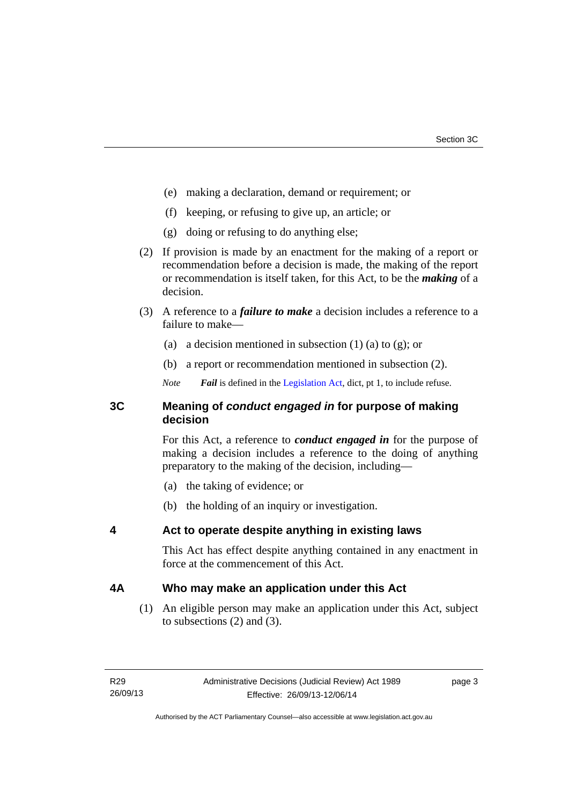- (e) making a declaration, demand or requirement; or
- (f) keeping, or refusing to give up, an article; or
- (g) doing or refusing to do anything else;
- (2) If provision is made by an enactment for the making of a report or recommendation before a decision is made, the making of the report or recommendation is itself taken, for this Act, to be the *making* of a decision.
- (3) A reference to a *failure to make* a decision includes a reference to a failure to make—
	- (a) a decision mentioned in subsection  $(1)$  (a) to  $(g)$ ; or
	- (b) a report or recommendation mentioned in subsection (2).
	- *Note Fail* is defined in the [Legislation Act](http://www.legislation.act.gov.au/a/2001-14), dict, pt 1, to include refuse.

# <span id="page-6-0"></span>**3C Meaning of** *conduct engaged in* **for purpose of making decision**

For this Act, a reference to *conduct engaged in* for the purpose of making a decision includes a reference to the doing of anything preparatory to the making of the decision, including—

- (a) the taking of evidence; or
- (b) the holding of an inquiry or investigation.

# <span id="page-6-1"></span>**4 Act to operate despite anything in existing laws**

This Act has effect despite anything contained in any enactment in force at the commencement of this Act.

# <span id="page-6-2"></span>**4A Who may make an application under this Act**

(1) An eligible person may make an application under this Act, subject to subsections (2) and (3).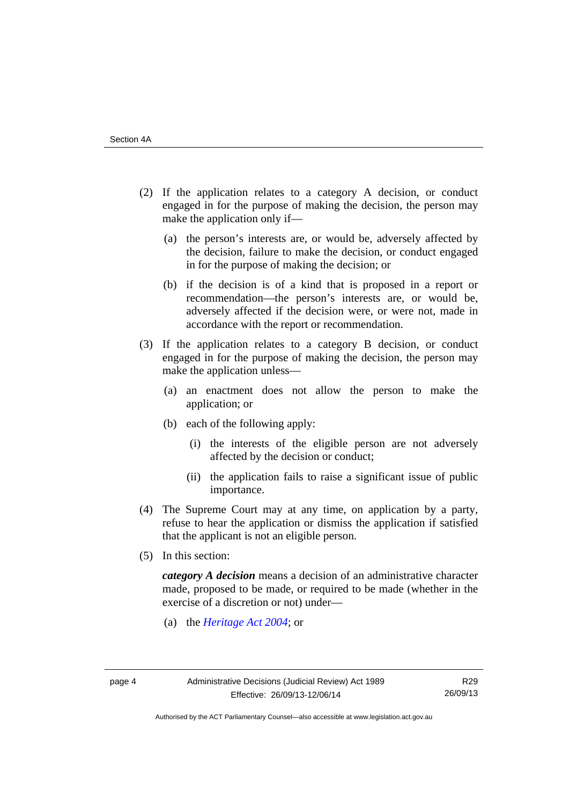- (2) If the application relates to a category A decision, or conduct engaged in for the purpose of making the decision, the person may make the application only if—
	- (a) the person's interests are, or would be, adversely affected by the decision, failure to make the decision, or conduct engaged in for the purpose of making the decision; or
	- (b) if the decision is of a kind that is proposed in a report or recommendation—the person's interests are, or would be, adversely affected if the decision were, or were not, made in accordance with the report or recommendation.
- (3) If the application relates to a category B decision, or conduct engaged in for the purpose of making the decision, the person may make the application unless—
	- (a) an enactment does not allow the person to make the application; or
	- (b) each of the following apply:
		- (i) the interests of the eligible person are not adversely affected by the decision or conduct;
		- (ii) the application fails to raise a significant issue of public importance.
- (4) The Supreme Court may at any time, on application by a party, refuse to hear the application or dismiss the application if satisfied that the applicant is not an eligible person.
- (5) In this section:

*category A decision* means a decision of an administrative character made, proposed to be made, or required to be made (whether in the exercise of a discretion or not) under—

(a) the *[Heritage Act 2004](http://www.legislation.act.gov.au/a/2004-57/default.asp)*; or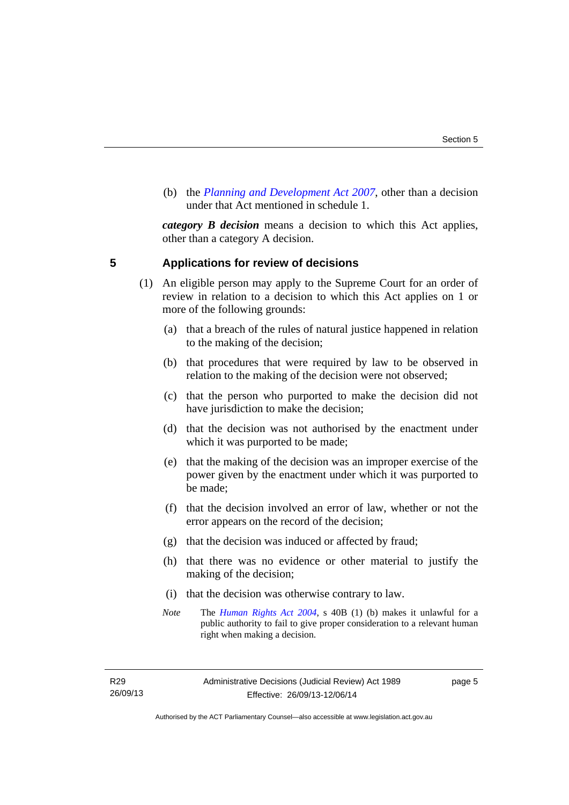(b) the *[Planning and Development Act 2007](http://www.legislation.act.gov.au/a/2007-24/default.asp)*, other than a decision under that Act mentioned in schedule 1.

*category B decision* means a decision to which this Act applies, other than a category A decision.

### <span id="page-8-0"></span>**5 Applications for review of decisions**

- (1) An eligible person may apply to the Supreme Court for an order of review in relation to a decision to which this Act applies on 1 or more of the following grounds:
	- (a) that a breach of the rules of natural justice happened in relation to the making of the decision;
	- (b) that procedures that were required by law to be observed in relation to the making of the decision were not observed;
	- (c) that the person who purported to make the decision did not have jurisdiction to make the decision;
	- (d) that the decision was not authorised by the enactment under which it was purported to be made;
	- (e) that the making of the decision was an improper exercise of the power given by the enactment under which it was purported to be made;
	- (f) that the decision involved an error of law, whether or not the error appears on the record of the decision;
	- (g) that the decision was induced or affected by fraud;
	- (h) that there was no evidence or other material to justify the making of the decision;
	- (i) that the decision was otherwise contrary to law.
	- *Note* The *[Human Rights Act 2004](http://www.legislation.act.gov.au/a/2004-5)*, s 40B (1) (b) makes it unlawful for a public authority to fail to give proper consideration to a relevant human right when making a decision.

R29 26/09/13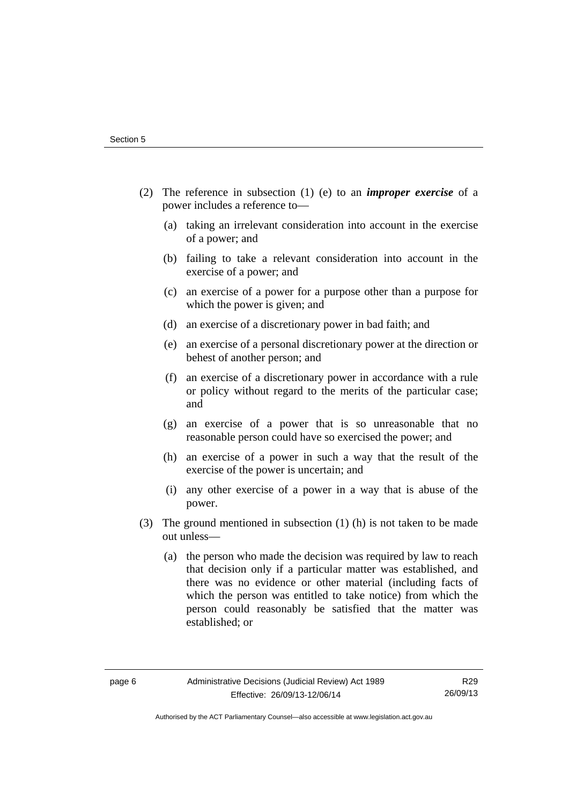- (2) The reference in subsection (1) (e) to an *improper exercise* of a power includes a reference to—
	- (a) taking an irrelevant consideration into account in the exercise of a power; and
	- (b) failing to take a relevant consideration into account in the exercise of a power; and
	- (c) an exercise of a power for a purpose other than a purpose for which the power is given; and
	- (d) an exercise of a discretionary power in bad faith; and
	- (e) an exercise of a personal discretionary power at the direction or behest of another person; and
	- (f) an exercise of a discretionary power in accordance with a rule or policy without regard to the merits of the particular case; and
	- (g) an exercise of a power that is so unreasonable that no reasonable person could have so exercised the power; and
	- (h) an exercise of a power in such a way that the result of the exercise of the power is uncertain; and
	- (i) any other exercise of a power in a way that is abuse of the power.
- (3) The ground mentioned in subsection (1) (h) is not taken to be made out unless—
	- (a) the person who made the decision was required by law to reach that decision only if a particular matter was established, and there was no evidence or other material (including facts of which the person was entitled to take notice) from which the person could reasonably be satisfied that the matter was established; or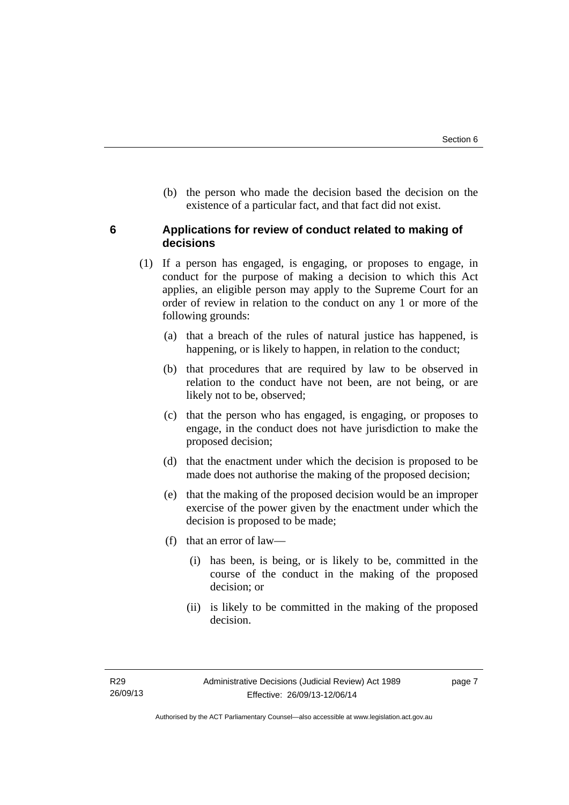(b) the person who made the decision based the decision on the existence of a particular fact, and that fact did not exist.

# <span id="page-10-0"></span>**6 Applications for review of conduct related to making of decisions**

- (1) If a person has engaged, is engaging, or proposes to engage, in conduct for the purpose of making a decision to which this Act applies, an eligible person may apply to the Supreme Court for an order of review in relation to the conduct on any 1 or more of the following grounds:
	- (a) that a breach of the rules of natural justice has happened, is happening, or is likely to happen, in relation to the conduct;
	- (b) that procedures that are required by law to be observed in relation to the conduct have not been, are not being, or are likely not to be, observed;
	- (c) that the person who has engaged, is engaging, or proposes to engage, in the conduct does not have jurisdiction to make the proposed decision;
	- (d) that the enactment under which the decision is proposed to be made does not authorise the making of the proposed decision;
	- (e) that the making of the proposed decision would be an improper exercise of the power given by the enactment under which the decision is proposed to be made;
	- (f) that an error of law—
		- (i) has been, is being, or is likely to be, committed in the course of the conduct in the making of the proposed decision; or
		- (ii) is likely to be committed in the making of the proposed decision.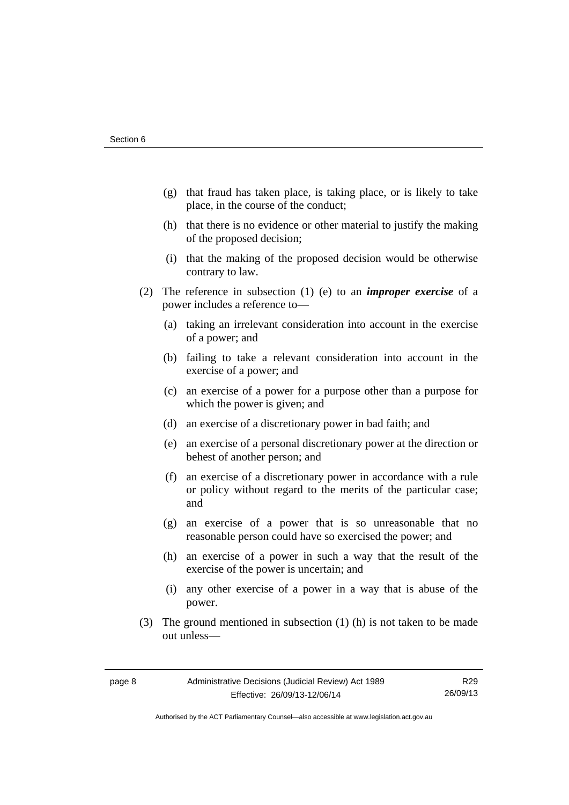- (g) that fraud has taken place, is taking place, or is likely to take place, in the course of the conduct;
- (h) that there is no evidence or other material to justify the making of the proposed decision;
- (i) that the making of the proposed decision would be otherwise contrary to law.
- (2) The reference in subsection (1) (e) to an *improper exercise* of a power includes a reference to—
	- (a) taking an irrelevant consideration into account in the exercise of a power; and
	- (b) failing to take a relevant consideration into account in the exercise of a power; and
	- (c) an exercise of a power for a purpose other than a purpose for which the power is given; and
	- (d) an exercise of a discretionary power in bad faith; and
	- (e) an exercise of a personal discretionary power at the direction or behest of another person; and
	- (f) an exercise of a discretionary power in accordance with a rule or policy without regard to the merits of the particular case; and
	- (g) an exercise of a power that is so unreasonable that no reasonable person could have so exercised the power; and
	- (h) an exercise of a power in such a way that the result of the exercise of the power is uncertain; and
	- (i) any other exercise of a power in a way that is abuse of the power.
- (3) The ground mentioned in subsection (1) (h) is not taken to be made out unless—

R29 26/09/13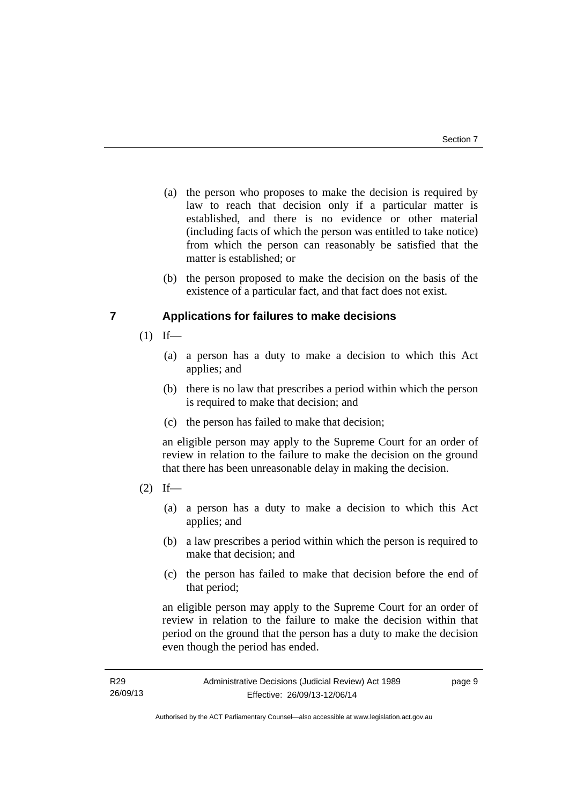- (a) the person who proposes to make the decision is required by law to reach that decision only if a particular matter is established, and there is no evidence or other material (including facts of which the person was entitled to take notice) from which the person can reasonably be satisfied that the matter is established; or
- (b) the person proposed to make the decision on the basis of the existence of a particular fact, and that fact does not exist.

# <span id="page-12-0"></span>**7 Applications for failures to make decisions**

- $(1)$  If—
	- (a) a person has a duty to make a decision to which this Act applies; and
	- (b) there is no law that prescribes a period within which the person is required to make that decision; and
	- (c) the person has failed to make that decision;

an eligible person may apply to the Supreme Court for an order of review in relation to the failure to make the decision on the ground that there has been unreasonable delay in making the decision.

- $(2)$  If—
	- (a) a person has a duty to make a decision to which this Act applies; and
	- (b) a law prescribes a period within which the person is required to make that decision; and
	- (c) the person has failed to make that decision before the end of that period;

an eligible person may apply to the Supreme Court for an order of review in relation to the failure to make the decision within that period on the ground that the person has a duty to make the decision even though the period has ended.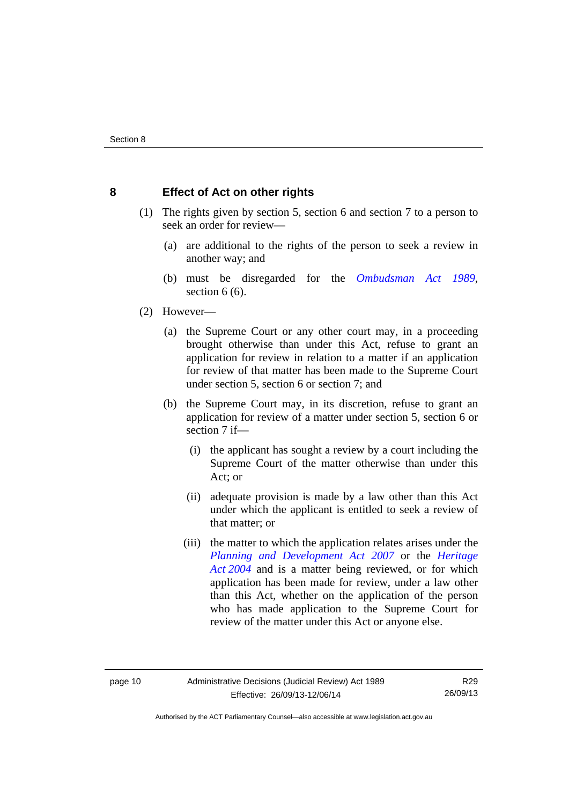# <span id="page-13-0"></span>**8 Effect of Act on other rights**

- (1) The rights given by section 5, section 6 and section 7 to a person to seek an order for review—
	- (a) are additional to the rights of the person to seek a review in another way; and
	- (b) must be disregarded for the *[Ombudsman Act 1989](http://www.legislation.act.gov.au/a/alt_a1989-45co)*, section 6 (6).
- (2) However—
	- (a) the Supreme Court or any other court may, in a proceeding brought otherwise than under this Act, refuse to grant an application for review in relation to a matter if an application for review of that matter has been made to the Supreme Court under section 5, section 6 or section 7; and
	- (b) the Supreme Court may, in its discretion, refuse to grant an application for review of a matter under section 5, section 6 or section 7 if—
		- (i) the applicant has sought a review by a court including the Supreme Court of the matter otherwise than under this Act; or
		- (ii) adequate provision is made by a law other than this Act under which the applicant is entitled to seek a review of that matter; or
		- (iii) the matter to which the application relates arises under the *[Planning and Development Act 2007](http://www.legislation.act.gov.au/a/2007-24)* or the *[Heritage](http://www.legislation.act.gov.au/a/2004-57)  [Act 2004](http://www.legislation.act.gov.au/a/2004-57)* and is a matter being reviewed, or for which application has been made for review, under a law other than this Act, whether on the application of the person who has made application to the Supreme Court for review of the matter under this Act or anyone else.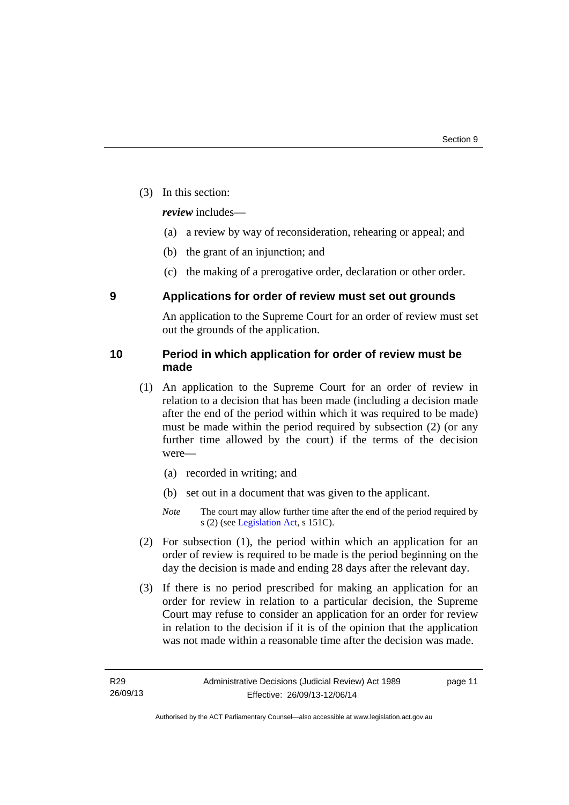(3) In this section:

*review* includes—

- (a) a review by way of reconsideration, rehearing or appeal; and
- (b) the grant of an injunction; and
- (c) the making of a prerogative order, declaration or other order.

# <span id="page-14-0"></span>**9 Applications for order of review must set out grounds**

An application to the Supreme Court for an order of review must set out the grounds of the application.

# <span id="page-14-1"></span>**10 Period in which application for order of review must be made**

- (1) An application to the Supreme Court for an order of review in relation to a decision that has been made (including a decision made after the end of the period within which it was required to be made) must be made within the period required by subsection (2) (or any further time allowed by the court) if the terms of the decision were—
	- (a) recorded in writing; and
	- (b) set out in a document that was given to the applicant.
	- *Note* The court may allow further time after the end of the period required by s (2) (see [Legislation Act](http://www.legislation.act.gov.au/a/2001-14), s 151C).
- (2) For subsection (1), the period within which an application for an order of review is required to be made is the period beginning on the day the decision is made and ending 28 days after the relevant day.
- (3) If there is no period prescribed for making an application for an order for review in relation to a particular decision, the Supreme Court may refuse to consider an application for an order for review in relation to the decision if it is of the opinion that the application was not made within a reasonable time after the decision was made.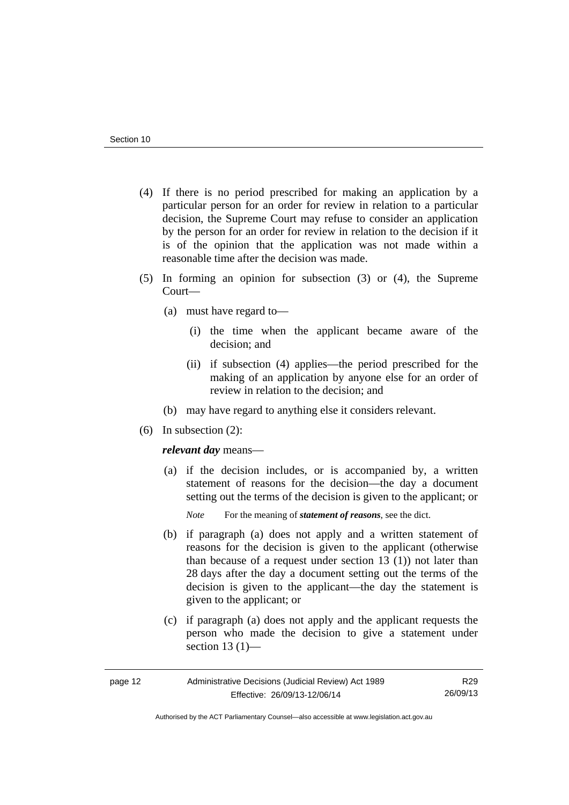- (4) If there is no period prescribed for making an application by a particular person for an order for review in relation to a particular decision, the Supreme Court may refuse to consider an application by the person for an order for review in relation to the decision if it is of the opinion that the application was not made within a reasonable time after the decision was made.
- (5) In forming an opinion for subsection (3) or (4), the Supreme Court—
	- (a) must have regard to—
		- (i) the time when the applicant became aware of the decision; and
		- (ii) if subsection (4) applies—the period prescribed for the making of an application by anyone else for an order of review in relation to the decision; and
	- (b) may have regard to anything else it considers relevant.
- (6) In subsection (2):

### *relevant day* means—

- (a) if the decision includes, or is accompanied by, a written statement of reasons for the decision—the day a document setting out the terms of the decision is given to the applicant; or
	- *Note* For the meaning of *statement of reasons*, see the dict.
- (b) if paragraph (a) does not apply and a written statement of reasons for the decision is given to the applicant (otherwise than because of a request under section 13 (1)) not later than 28 days after the day a document setting out the terms of the decision is given to the applicant—the day the statement is given to the applicant; or
- (c) if paragraph (a) does not apply and the applicant requests the person who made the decision to give a statement under section 13 (1)—

| page 12 | Administrative Decisions (Judicial Review) Act 1989 | R29      |
|---------|-----------------------------------------------------|----------|
|         | Effective: 26/09/13-12/06/14                        | 26/09/13 |

Authorised by the ACT Parliamentary Counsel—also accessible at www.legislation.act.gov.au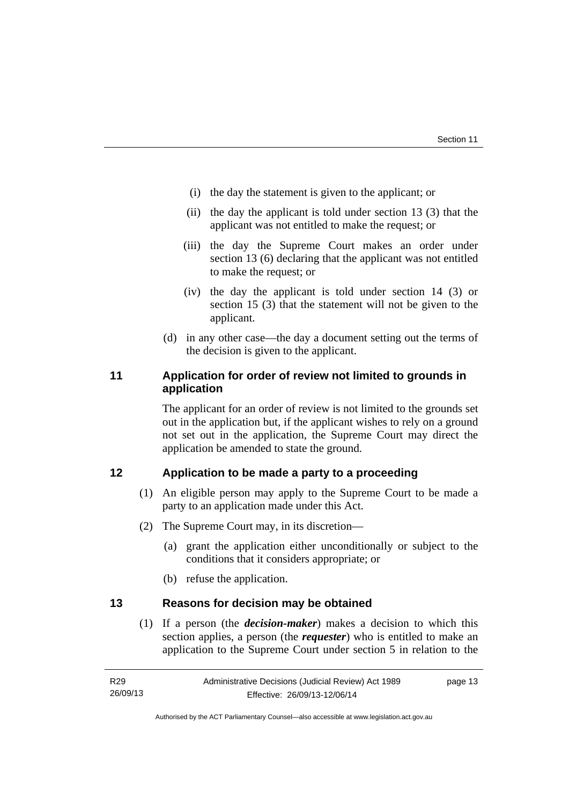- (i) the day the statement is given to the applicant; or
- (ii) the day the applicant is told under section 13 (3) that the applicant was not entitled to make the request; or
- (iii) the day the Supreme Court makes an order under section 13 (6) declaring that the applicant was not entitled to make the request; or
- (iv) the day the applicant is told under section 14 (3) or section 15 (3) that the statement will not be given to the applicant.
- (d) in any other case—the day a document setting out the terms of the decision is given to the applicant.

# <span id="page-16-0"></span>**11 Application for order of review not limited to grounds in application**

The applicant for an order of review is not limited to the grounds set out in the application but, if the applicant wishes to rely on a ground not set out in the application, the Supreme Court may direct the application be amended to state the ground.

# <span id="page-16-1"></span>**12 Application to be made a party to a proceeding**

- (1) An eligible person may apply to the Supreme Court to be made a party to an application made under this Act.
- (2) The Supreme Court may, in its discretion—
	- (a) grant the application either unconditionally or subject to the conditions that it considers appropriate; or
	- (b) refuse the application.

# <span id="page-16-2"></span>**13 Reasons for decision may be obtained**

(1) If a person (the *decision-maker*) makes a decision to which this section applies, a person (the *requester*) who is entitled to make an application to the Supreme Court under section 5 in relation to the

Authorised by the ACT Parliamentary Counsel—also accessible at www.legislation.act.gov.au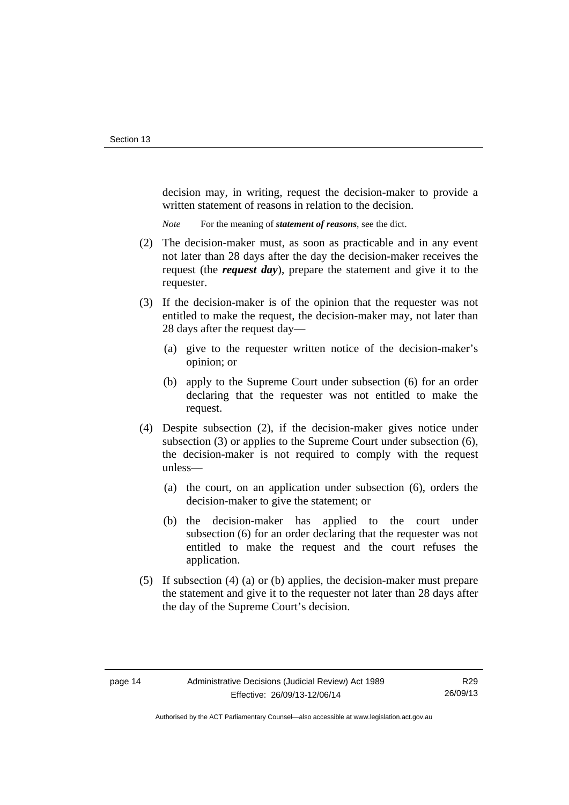decision may, in writing, request the decision-maker to provide a written statement of reasons in relation to the decision.

*Note* For the meaning of *statement of reasons*, see the dict.

- (2) The decision-maker must, as soon as practicable and in any event not later than 28 days after the day the decision-maker receives the request (the *request day*), prepare the statement and give it to the requester.
- (3) If the decision-maker is of the opinion that the requester was not entitled to make the request, the decision-maker may, not later than 28 days after the request day—
	- (a) give to the requester written notice of the decision-maker's opinion; or
	- (b) apply to the Supreme Court under subsection (6) for an order declaring that the requester was not entitled to make the request.
- (4) Despite subsection (2), if the decision-maker gives notice under subsection (3) or applies to the Supreme Court under subsection (6), the decision-maker is not required to comply with the request unless—
	- (a) the court, on an application under subsection (6), orders the decision-maker to give the statement; or
	- (b) the decision-maker has applied to the court under subsection (6) for an order declaring that the requester was not entitled to make the request and the court refuses the application.
- (5) If subsection (4) (a) or (b) applies, the decision-maker must prepare the statement and give it to the requester not later than 28 days after the day of the Supreme Court's decision.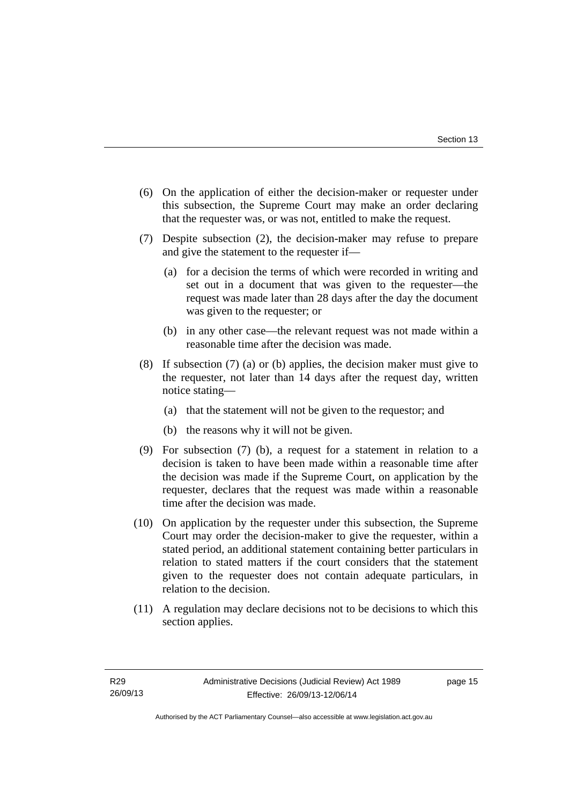- (6) On the application of either the decision-maker or requester under this subsection, the Supreme Court may make an order declaring that the requester was, or was not, entitled to make the request.
- (7) Despite subsection (2), the decision-maker may refuse to prepare and give the statement to the requester if—
	- (a) for a decision the terms of which were recorded in writing and set out in a document that was given to the requester—the request was made later than 28 days after the day the document was given to the requester; or
	- (b) in any other case—the relevant request was not made within a reasonable time after the decision was made.
- (8) If subsection (7) (a) or (b) applies, the decision maker must give to the requester, not later than 14 days after the request day, written notice stating—
	- (a) that the statement will not be given to the requestor; and
	- (b) the reasons why it will not be given.
- (9) For subsection (7) (b), a request for a statement in relation to a decision is taken to have been made within a reasonable time after the decision was made if the Supreme Court, on application by the requester, declares that the request was made within a reasonable time after the decision was made.
- (10) On application by the requester under this subsection, the Supreme Court may order the decision-maker to give the requester, within a stated period, an additional statement containing better particulars in relation to stated matters if the court considers that the statement given to the requester does not contain adequate particulars, in relation to the decision.
- (11) A regulation may declare decisions not to be decisions to which this section applies.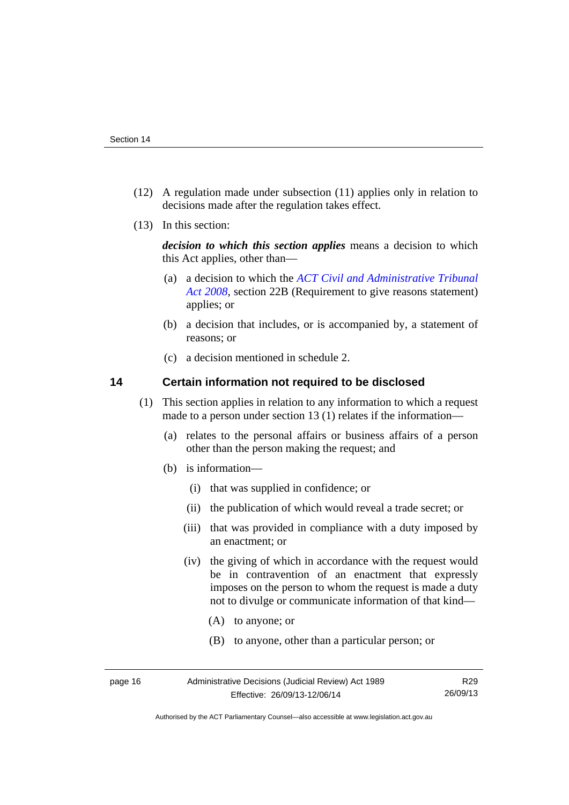- (12) A regulation made under subsection (11) applies only in relation to decisions made after the regulation takes effect.
- (13) In this section:

*decision to which this section applies* means a decision to which this Act applies, other than—

- (a) a decision to which the *[ACT Civil and Administrative Tribunal](http://www.legislation.act.gov.au/a/2008-35)  [Act 2008](http://www.legislation.act.gov.au/a/2008-35)*, section 22B (Requirement to give reasons statement) applies; or
- (b) a decision that includes, or is accompanied by, a statement of reasons; or
- (c) a decision mentioned in schedule 2.

# <span id="page-19-0"></span>**14 Certain information not required to be disclosed**

- (1) This section applies in relation to any information to which a request made to a person under section 13 (1) relates if the information—
	- (a) relates to the personal affairs or business affairs of a person other than the person making the request; and
	- (b) is information—
		- (i) that was supplied in confidence; or
		- (ii) the publication of which would reveal a trade secret; or
		- (iii) that was provided in compliance with a duty imposed by an enactment; or
		- (iv) the giving of which in accordance with the request would be in contravention of an enactment that expressly imposes on the person to whom the request is made a duty not to divulge or communicate information of that kind—
			- (A) to anyone; or
			- (B) to anyone, other than a particular person; or

Authorised by the ACT Parliamentary Counsel—also accessible at www.legislation.act.gov.au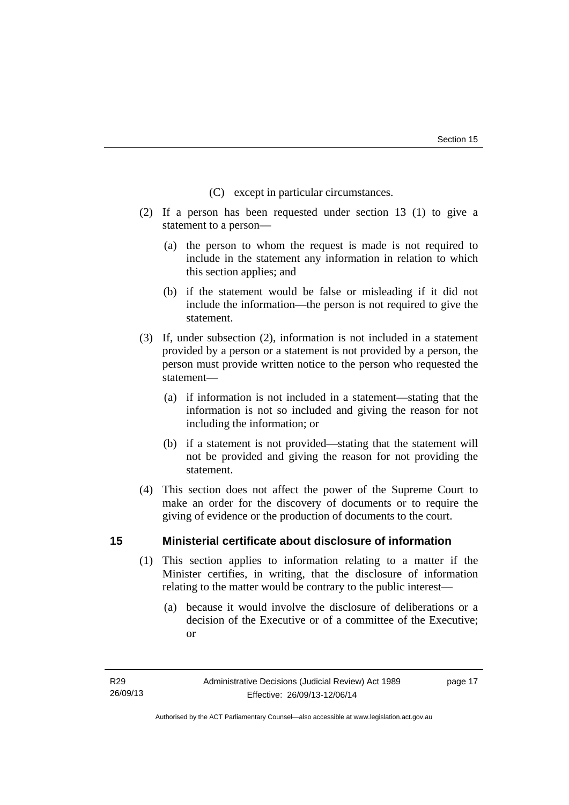- (C) except in particular circumstances.
- (2) If a person has been requested under section 13 (1) to give a statement to a person—
	- (a) the person to whom the request is made is not required to include in the statement any information in relation to which this section applies; and
	- (b) if the statement would be false or misleading if it did not include the information—the person is not required to give the statement.
- (3) If, under subsection (2), information is not included in a statement provided by a person or a statement is not provided by a person, the person must provide written notice to the person who requested the statement—
	- (a) if information is not included in a statement—stating that the information is not so included and giving the reason for not including the information; or
	- (b) if a statement is not provided—stating that the statement will not be provided and giving the reason for not providing the statement.
- (4) This section does not affect the power of the Supreme Court to make an order for the discovery of documents or to require the giving of evidence or the production of documents to the court.

# <span id="page-20-0"></span>**15 Ministerial certificate about disclosure of information**

- (1) This section applies to information relating to a matter if the Minister certifies, in writing, that the disclosure of information relating to the matter would be contrary to the public interest—
	- (a) because it would involve the disclosure of deliberations or a decision of the Executive or of a committee of the Executive; or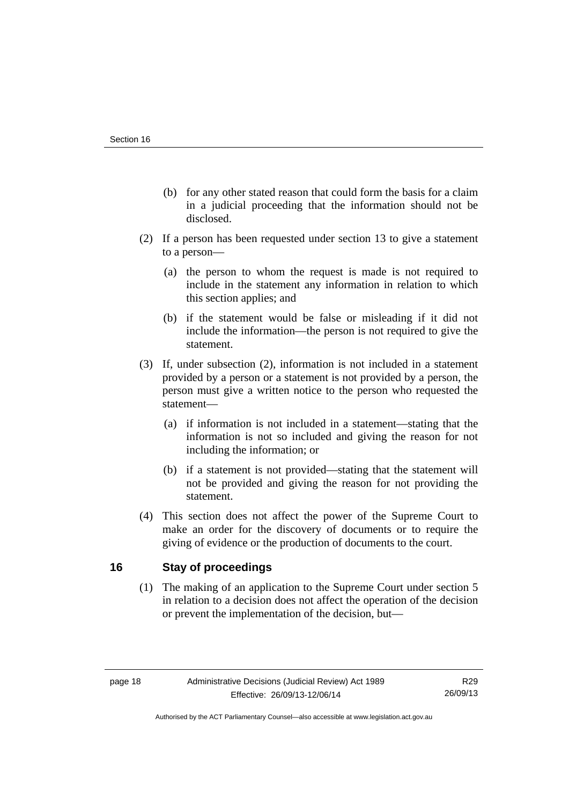- (b) for any other stated reason that could form the basis for a claim in a judicial proceeding that the information should not be disclosed.
- (2) If a person has been requested under section 13 to give a statement to a person—
	- (a) the person to whom the request is made is not required to include in the statement any information in relation to which this section applies; and
	- (b) if the statement would be false or misleading if it did not include the information—the person is not required to give the statement.
- (3) If, under subsection (2), information is not included in a statement provided by a person or a statement is not provided by a person, the person must give a written notice to the person who requested the statement—
	- (a) if information is not included in a statement—stating that the information is not so included and giving the reason for not including the information; or
	- (b) if a statement is not provided—stating that the statement will not be provided and giving the reason for not providing the statement.
- (4) This section does not affect the power of the Supreme Court to make an order for the discovery of documents or to require the giving of evidence or the production of documents to the court.

# <span id="page-21-0"></span>**16 Stay of proceedings**

(1) The making of an application to the Supreme Court under section 5 in relation to a decision does not affect the operation of the decision or prevent the implementation of the decision, but—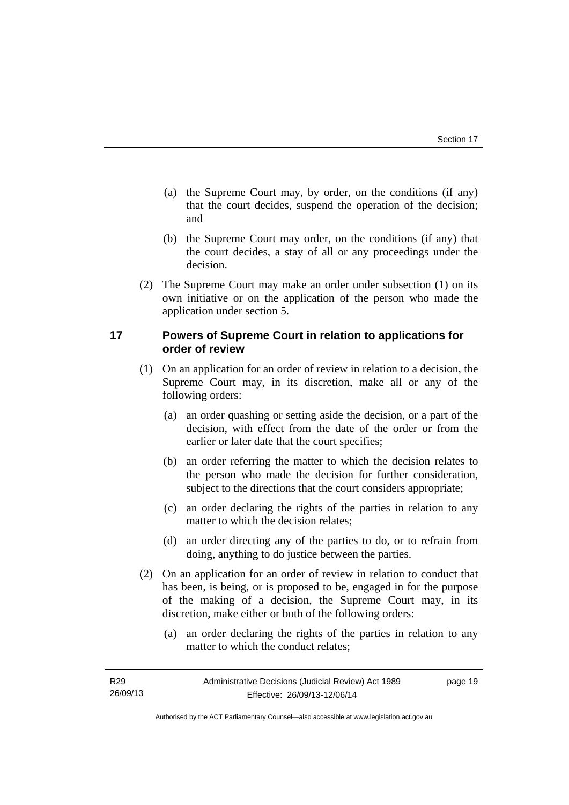- (a) the Supreme Court may, by order, on the conditions (if any) that the court decides, suspend the operation of the decision; and
- (b) the Supreme Court may order, on the conditions (if any) that the court decides, a stay of all or any proceedings under the decision.
- (2) The Supreme Court may make an order under subsection (1) on its own initiative or on the application of the person who made the application under section 5.

# <span id="page-22-0"></span>**17 Powers of Supreme Court in relation to applications for order of review**

- (1) On an application for an order of review in relation to a decision, the Supreme Court may, in its discretion, make all or any of the following orders:
	- (a) an order quashing or setting aside the decision, or a part of the decision, with effect from the date of the order or from the earlier or later date that the court specifies;
	- (b) an order referring the matter to which the decision relates to the person who made the decision for further consideration, subject to the directions that the court considers appropriate;
	- (c) an order declaring the rights of the parties in relation to any matter to which the decision relates;
	- (d) an order directing any of the parties to do, or to refrain from doing, anything to do justice between the parties.
- (2) On an application for an order of review in relation to conduct that has been, is being, or is proposed to be, engaged in for the purpose of the making of a decision, the Supreme Court may, in its discretion, make either or both of the following orders:
	- (a) an order declaring the rights of the parties in relation to any matter to which the conduct relates;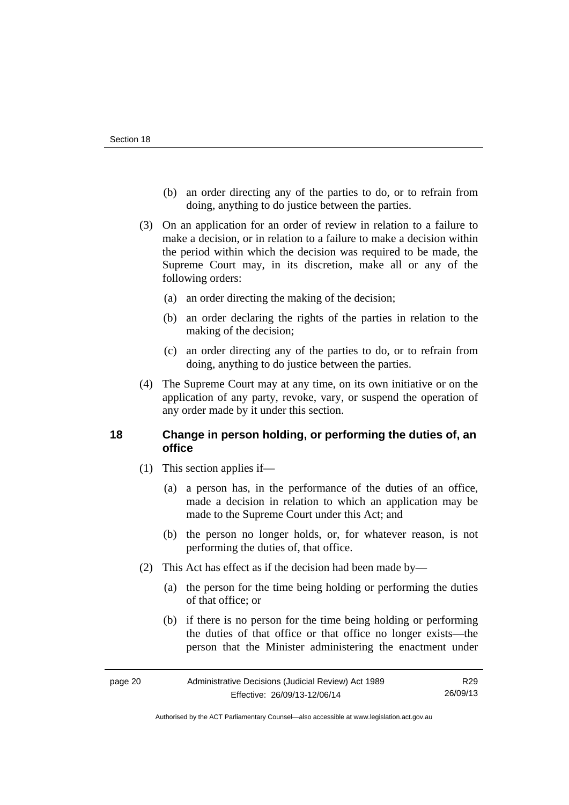- (b) an order directing any of the parties to do, or to refrain from doing, anything to do justice between the parties.
- (3) On an application for an order of review in relation to a failure to make a decision, or in relation to a failure to make a decision within the period within which the decision was required to be made, the Supreme Court may, in its discretion, make all or any of the following orders:
	- (a) an order directing the making of the decision;
	- (b) an order declaring the rights of the parties in relation to the making of the decision;
	- (c) an order directing any of the parties to do, or to refrain from doing, anything to do justice between the parties.
- (4) The Supreme Court may at any time, on its own initiative or on the application of any party, revoke, vary, or suspend the operation of any order made by it under this section.

# <span id="page-23-0"></span>**18 Change in person holding, or performing the duties of, an office**

- (1) This section applies if—
	- (a) a person has, in the performance of the duties of an office, made a decision in relation to which an application may be made to the Supreme Court under this Act; and
	- (b) the person no longer holds, or, for whatever reason, is not performing the duties of, that office.
- (2) This Act has effect as if the decision had been made by—
	- (a) the person for the time being holding or performing the duties of that office; or
	- (b) if there is no person for the time being holding or performing the duties of that office or that office no longer exists—the person that the Minister administering the enactment under

Authorised by the ACT Parliamentary Counsel—also accessible at www.legislation.act.gov.au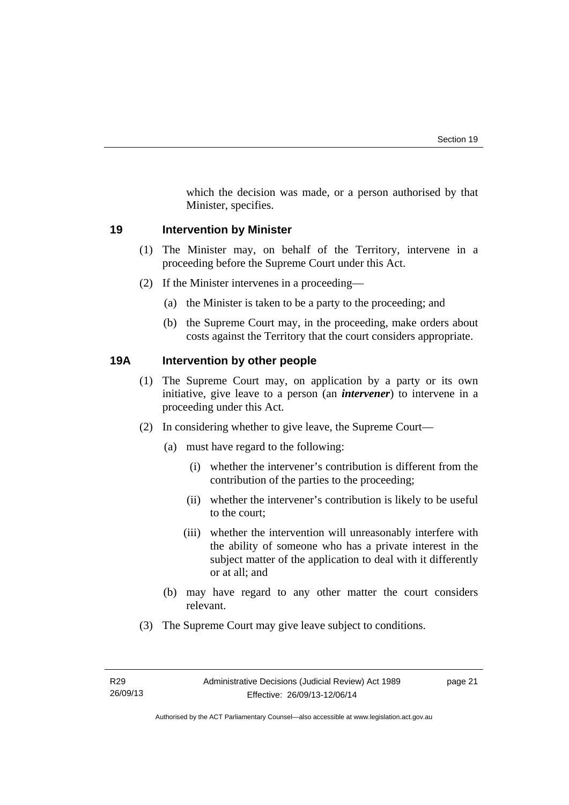which the decision was made, or a person authorised by that Minister, specifies.

# <span id="page-24-0"></span>**19 Intervention by Minister**

- (1) The Minister may, on behalf of the Territory, intervene in a proceeding before the Supreme Court under this Act.
- (2) If the Minister intervenes in a proceeding—
	- (a) the Minister is taken to be a party to the proceeding; and
	- (b) the Supreme Court may, in the proceeding, make orders about costs against the Territory that the court considers appropriate.

# <span id="page-24-1"></span>**19A Intervention by other people**

- (1) The Supreme Court may, on application by a party or its own initiative, give leave to a person (an *intervener*) to intervene in a proceeding under this Act.
- (2) In considering whether to give leave, the Supreme Court—
	- (a) must have regard to the following:
		- (i) whether the intervener's contribution is different from the contribution of the parties to the proceeding;
		- (ii) whether the intervener's contribution is likely to be useful to the court;
		- (iii) whether the intervention will unreasonably interfere with the ability of someone who has a private interest in the subject matter of the application to deal with it differently or at all; and
	- (b) may have regard to any other matter the court considers relevant.
- (3) The Supreme Court may give leave subject to conditions.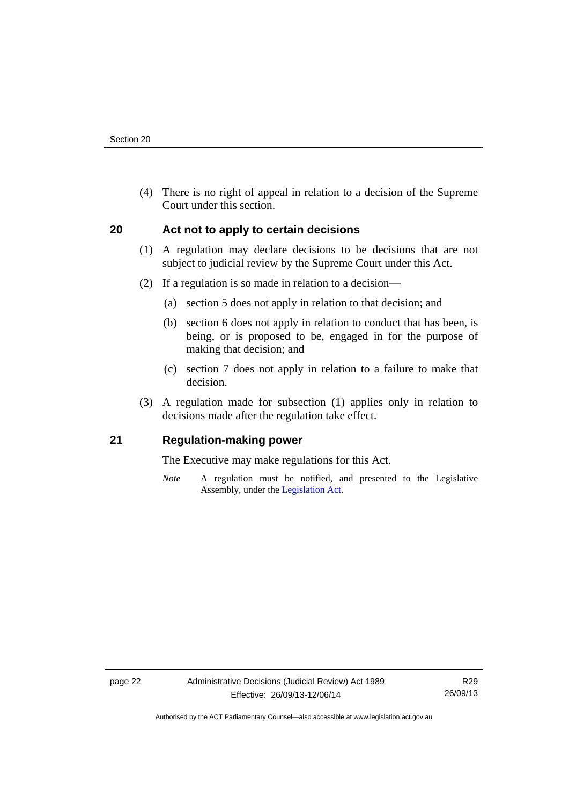(4) There is no right of appeal in relation to a decision of the Supreme Court under this section.

# <span id="page-25-0"></span>**20 Act not to apply to certain decisions**

- (1) A regulation may declare decisions to be decisions that are not subject to judicial review by the Supreme Court under this Act.
- (2) If a regulation is so made in relation to a decision—
	- (a) section 5 does not apply in relation to that decision; and
	- (b) section 6 does not apply in relation to conduct that has been, is being, or is proposed to be, engaged in for the purpose of making that decision; and
	- (c) section 7 does not apply in relation to a failure to make that decision.
- (3) A regulation made for subsection (1) applies only in relation to decisions made after the regulation take effect.

# <span id="page-25-1"></span>**21 Regulation-making power**

The Executive may make regulations for this Act.

*Note* A regulation must be notified, and presented to the Legislative Assembly, under the [Legislation Act](http://www.legislation.act.gov.au/a/2001-14).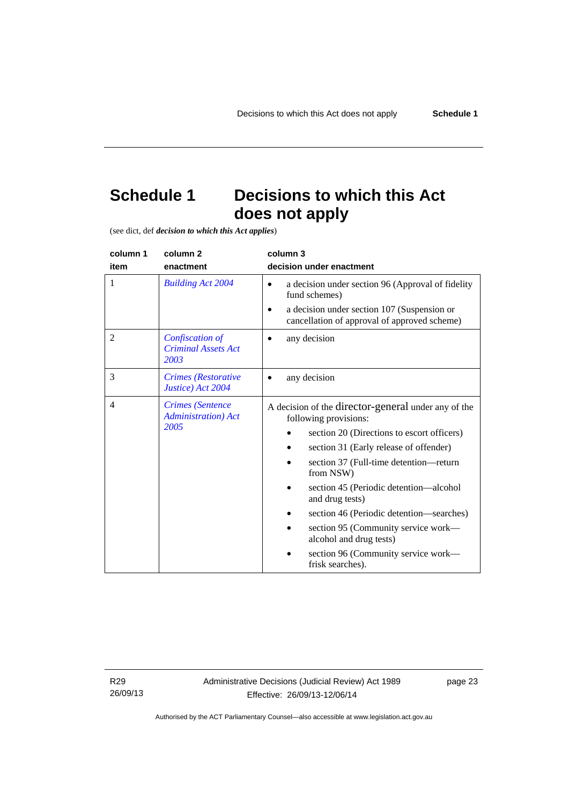# <span id="page-26-0"></span>**Schedule 1 Decisions to which this Act does not apply**

(see dict, def *decision to which this Act applies*)

| column 1       | column <sub>2</sub>                                            | column 3                                                                                                                                                                                                                                                                                                                                                                    |
|----------------|----------------------------------------------------------------|-----------------------------------------------------------------------------------------------------------------------------------------------------------------------------------------------------------------------------------------------------------------------------------------------------------------------------------------------------------------------------|
| item           | enactment                                                      | decision under enactment                                                                                                                                                                                                                                                                                                                                                    |
| 1              | <b>Building Act 2004</b>                                       | a decision under section 96 (Approval of fidelity<br>fund schemes)<br>a decision under section 107 (Suspension or<br>cancellation of approval of approved scheme)                                                                                                                                                                                                           |
| $\overline{2}$ | Confiscation of<br><b>Criminal Assets Act</b><br>2003          | any decision                                                                                                                                                                                                                                                                                                                                                                |
| 3              | Crimes (Restorative<br>Justice) Act 2004                       | any decision                                                                                                                                                                                                                                                                                                                                                                |
| $\overline{4}$ | <b>Crimes</b> (Sentence<br><b>Administration</b> ) Act<br>2005 | A decision of the director-general under any of the<br>following provisions:<br>section 20 (Directions to escort officers)<br>section 31 (Early release of offender)<br>section 37 (Full-time detention-return<br>from NSW)<br>section 45 (Periodic detention—alcohol<br>and drug tests)<br>section 46 (Periodic detention—searches)<br>section 95 (Community service work— |
|                |                                                                | alcohol and drug tests)<br>section 96 (Community service work—<br>frisk searches).                                                                                                                                                                                                                                                                                          |

R29 26/09/13 page 23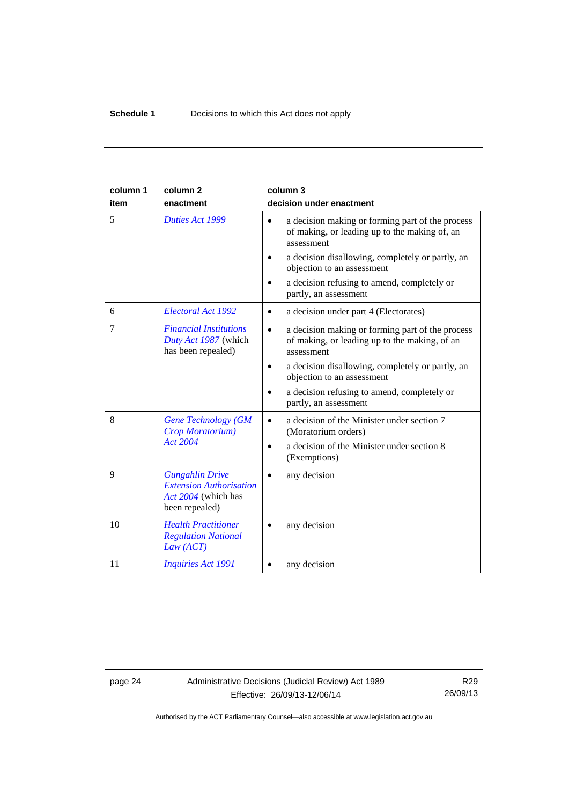| column 1<br>item | column <sub>2</sub><br>enactment                                                                  | column 3<br>decision under enactment                                                                                         |
|------------------|---------------------------------------------------------------------------------------------------|------------------------------------------------------------------------------------------------------------------------------|
| 5                | Duties Act 1999                                                                                   | a decision making or forming part of the process<br>$\bullet$<br>of making, or leading up to the making of, an<br>assessment |
|                  |                                                                                                   | a decision disallowing, completely or partly, an<br>objection to an assessment                                               |
|                  |                                                                                                   | a decision refusing to amend, completely or<br>partly, an assessment                                                         |
| 6                | Electoral Act 1992                                                                                | a decision under part 4 (Electorates)<br>$\bullet$                                                                           |
| 7                | <b>Financial Institutions</b><br>Duty Act 1987 (which<br>has been repealed)                       | a decision making or forming part of the process<br>of making, or leading up to the making, of an<br>assessment              |
|                  |                                                                                                   | a decision disallowing, completely or partly, an<br>objection to an assessment                                               |
|                  |                                                                                                   | a decision refusing to amend, completely or<br>partly, an assessment                                                         |
| 8                | <b>Gene Technology (GM</b><br>Crop Moratorium)                                                    | a decision of the Minister under section 7<br>(Moratorium orders)                                                            |
|                  | <b>Act 2004</b>                                                                                   | a decision of the Minister under section 8<br>(Exemptions)                                                                   |
| $\mathbf{Q}$     | <b>Gungahlin Drive</b><br><b>Extension Authorisation</b><br>Act 2004 (which has<br>been repealed) | any decision                                                                                                                 |
| 10               | <b>Health Practitioner</b><br><b>Regulation National</b><br>Law (ACT)                             | any decision                                                                                                                 |
| 11               | <b>Inquiries Act 1991</b>                                                                         | any decision                                                                                                                 |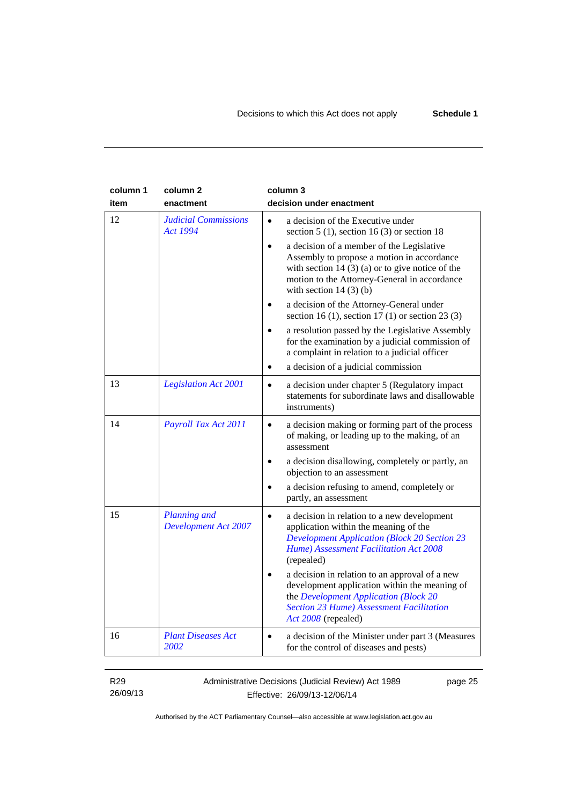| column 1<br>item | column <sub>2</sub><br>enactment            | column 3<br>decision under enactment                                                                                                                                                                                                |
|------------------|---------------------------------------------|-------------------------------------------------------------------------------------------------------------------------------------------------------------------------------------------------------------------------------------|
| 12               | <b>Judicial Commissions</b><br>Act 1994     | a decision of the Executive under<br>$\bullet$<br>section 5 (1), section 16 (3) or section 18                                                                                                                                       |
|                  |                                             | a decision of a member of the Legislative<br>$\bullet$<br>Assembly to propose a motion in accordance<br>with section $14(3)(a)$ or to give notice of the<br>motion to the Attorney-General in accordance<br>with section $14(3)(b)$ |
|                  |                                             | a decision of the Attorney-General under<br>section 16 (1), section 17 (1) or section 23 (3)                                                                                                                                        |
|                  |                                             | a resolution passed by the Legislative Assembly<br>for the examination by a judicial commission of<br>a complaint in relation to a judicial officer                                                                                 |
|                  |                                             | a decision of a judicial commission<br>$\bullet$                                                                                                                                                                                    |
| 13               | <b>Legislation Act 2001</b>                 | a decision under chapter 5 (Regulatory impact<br>$\bullet$<br>statements for subordinate laws and disallowable<br>instruments)                                                                                                      |
| 14               | Payroll Tax Act 2011                        | a decision making or forming part of the process<br>$\bullet$<br>of making, or leading up to the making, of an<br>assessment                                                                                                        |
|                  |                                             | a decision disallowing, completely or partly, an<br>objection to an assessment                                                                                                                                                      |
|                  |                                             | a decision refusing to amend, completely or<br>partly, an assessment                                                                                                                                                                |
| 15               | Planning and<br><b>Development Act 2007</b> | a decision in relation to a new development<br>$\bullet$<br>application within the meaning of the<br><b>Development Application (Block 20 Section 23</b><br>Hume) Assessment Facilitation Act 2008<br>(repealed)                    |
|                  |                                             | a decision in relation to an approval of a new<br>development application within the meaning of<br>the Development Application (Block 20<br><b>Section 23 Hume) Assessment Facilitation</b><br>Act 2008 (repealed)                  |
| 16               | <b>Plant Diseases Act</b><br>2002           | a decision of the Minister under part 3 (Measures<br>for the control of diseases and pests)                                                                                                                                         |

R29 26/09/13 Administrative Decisions (Judicial Review) Act 1989 Effective: 26/09/13-12/06/14

page 25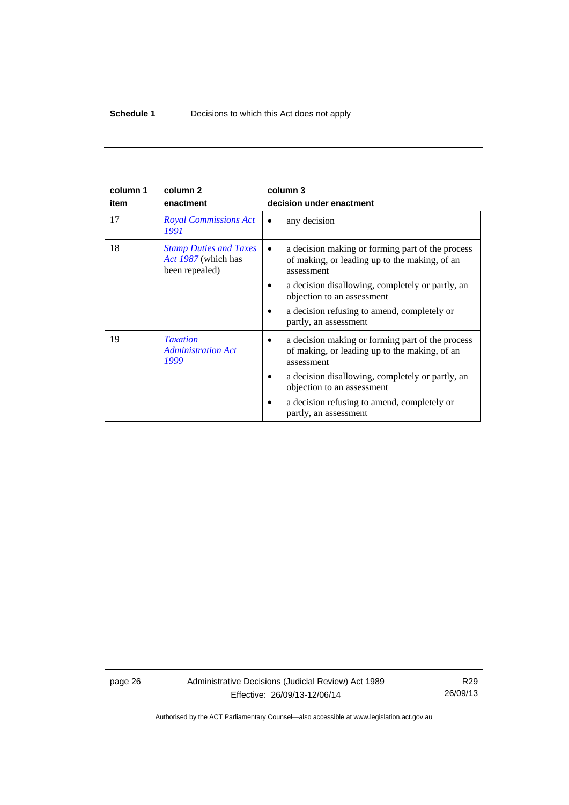| column 1 | column <sub>2</sub>                                                    | column 3                                                                                                                     |
|----------|------------------------------------------------------------------------|------------------------------------------------------------------------------------------------------------------------------|
| item     | enactment                                                              | decision under enactment                                                                                                     |
| 17       | <b>Royal Commissions Act</b><br>1991                                   | any decision                                                                                                                 |
| 18       | <b>Stamp Duties and Taxes</b><br>Act 1987 (which has<br>been repealed) | a decision making or forming part of the process<br>$\bullet$<br>of making, or leading up to the making, of an<br>assessment |
|          |                                                                        | a decision disallowing, completely or partly, an<br>objection to an assessment                                               |
|          |                                                                        | a decision refusing to amend, completely or<br>partly, an assessment                                                         |
| 19       | <b>Taxation</b><br><b>Administration Act</b><br>1999                   | a decision making or forming part of the process<br>of making, or leading up to the making, of an<br>assessment              |
|          |                                                                        | a decision disallowing, completely or partly, an<br>objection to an assessment                                               |
|          |                                                                        | a decision refusing to amend, completely or<br>partly, an assessment                                                         |

page 26 Administrative Decisions (Judicial Review) Act 1989 Effective: 26/09/13-12/06/14

R29 26/09/13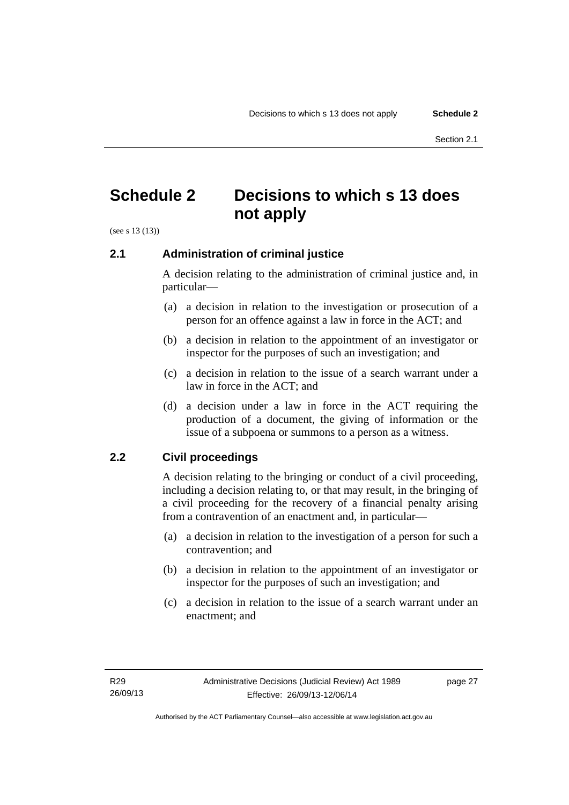# <span id="page-30-0"></span>**Schedule 2 Decisions to which s 13 does not apply**

(see s 13 (13))

# <span id="page-30-1"></span>**2.1 Administration of criminal justice**

A decision relating to the administration of criminal justice and, in particular—

- (a) a decision in relation to the investigation or prosecution of a person for an offence against a law in force in the ACT; and
- (b) a decision in relation to the appointment of an investigator or inspector for the purposes of such an investigation; and
- (c) a decision in relation to the issue of a search warrant under a law in force in the ACT; and
- (d) a decision under a law in force in the ACT requiring the production of a document, the giving of information or the issue of a subpoena or summons to a person as a witness.

# <span id="page-30-2"></span>**2.2 Civil proceedings**

A decision relating to the bringing or conduct of a civil proceeding, including a decision relating to, or that may result, in the bringing of a civil proceeding for the recovery of a financial penalty arising from a contravention of an enactment and, in particular—

- (a) a decision in relation to the investigation of a person for such a contravention; and
- (b) a decision in relation to the appointment of an investigator or inspector for the purposes of such an investigation; and
- (c) a decision in relation to the issue of a search warrant under an enactment; and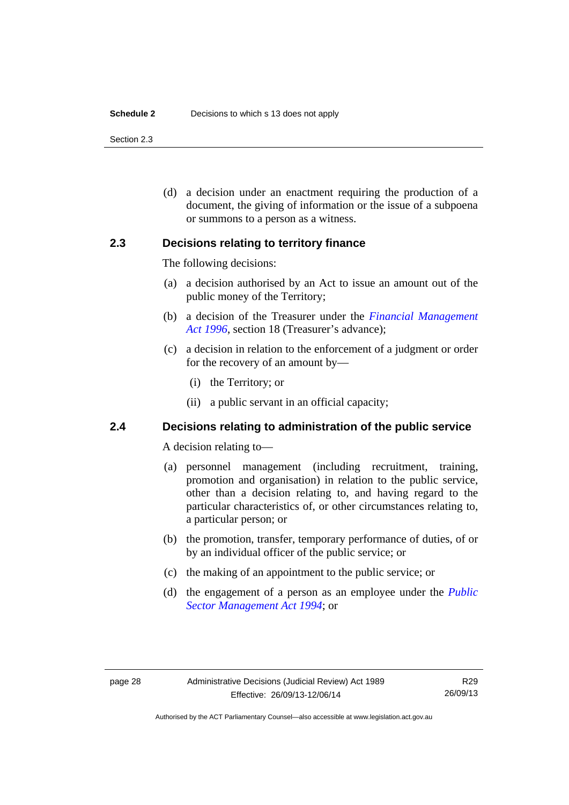#### **Schedule 2** Decisions to which s 13 does not apply

Section 2.3

 (d) a decision under an enactment requiring the production of a document, the giving of information or the issue of a subpoena or summons to a person as a witness.

# <span id="page-31-0"></span>**2.3 Decisions relating to territory finance**

The following decisions:

- (a) a decision authorised by an Act to issue an amount out of the public money of the Territory;
- (b) a decision of the Treasurer under the *[Financial Management](http://www.legislation.act.gov.au/a/1996-22)*  [Act 1996](http://www.legislation.act.gov.au/a/1996-22), section 18 (Treasurer's advance);
- (c) a decision in relation to the enforcement of a judgment or order for the recovery of an amount by—
	- (i) the Territory; or
	- (ii) a public servant in an official capacity;

# <span id="page-31-1"></span>**2.4 Decisions relating to administration of the public service**

A decision relating to—

- (a) personnel management (including recruitment, training, promotion and organisation) in relation to the public service, other than a decision relating to, and having regard to the particular characteristics of, or other circumstances relating to, a particular person; or
- (b) the promotion, transfer, temporary performance of duties, of or by an individual officer of the public service; or
- (c) the making of an appointment to the public service; or
- (d) the engagement of a person as an employee under the *[Public](http://www.legislation.act.gov.au/a/1994-37)  [Sector Management Act 1994](http://www.legislation.act.gov.au/a/1994-37)*; or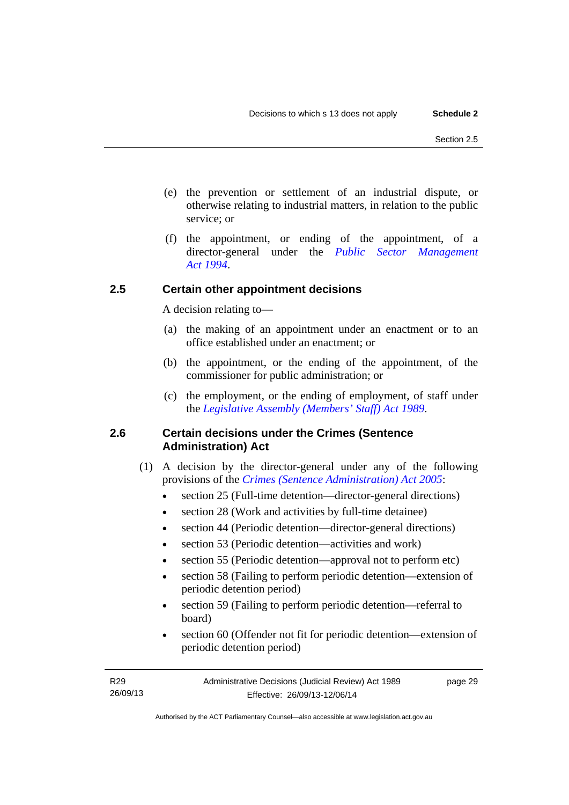- (e) the prevention or settlement of an industrial dispute, or otherwise relating to industrial matters, in relation to the public service; or
- (f) the appointment, or ending of the appointment, of a director-general under the *[Public Sector Management](http://www.legislation.act.gov.au/a/1994-37)  [Act 1994](http://www.legislation.act.gov.au/a/1994-37)*.

# <span id="page-32-0"></span>**2.5 Certain other appointment decisions**

A decision relating to—

- (a) the making of an appointment under an enactment or to an office established under an enactment; or
- (b) the appointment, or the ending of the appointment, of the commissioner for public administration; or
- (c) the employment, or the ending of employment, of staff under the *[Legislative Assembly \(Members' Staff\) Act 1989](http://www.legislation.act.gov.au/a/1989-19)*.

# <span id="page-32-1"></span>**2.6 Certain decisions under the Crimes (Sentence Administration) Act**

- (1) A decision by the director-general under any of the following provisions of the *[Crimes \(Sentence Administration\) Act 2005](http://www.legislation.act.gov.au/a/2005-59)*:
	- section 25 (Full-time detention—director-general directions)
	- section 28 (Work and activities by full-time detainee)
	- section 44 (Periodic detention—director-general directions)
	- section 53 (Periodic detention—activities and work)
	- section 55 (Periodic detention—approval not to perform etc)
	- section 58 (Failing to perform periodic detention—extension of periodic detention period)
	- section 59 (Failing to perform periodic detention—referral to board)
	- section 60 (Offender not fit for periodic detention—extension of periodic detention period)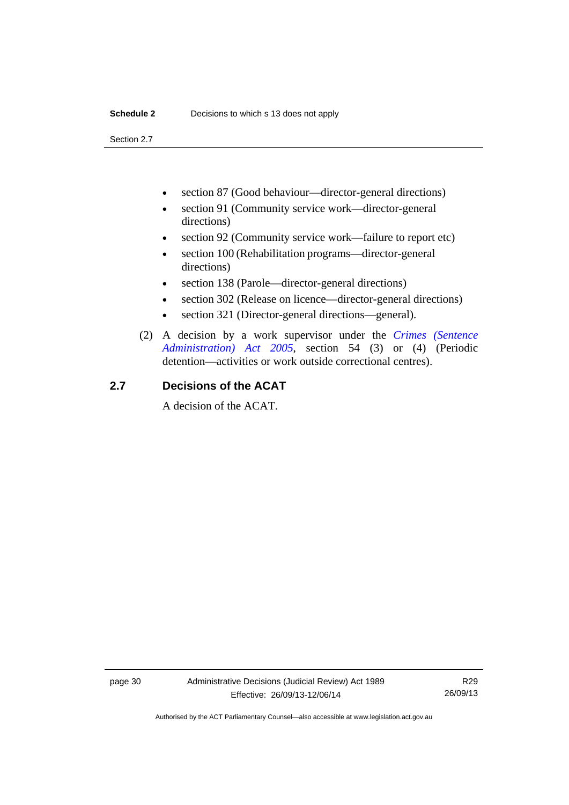Section 2.7

- section 87 (Good behaviour—director-general directions)
- section 91 (Community service work—director-general directions)
- section 92 (Community service work—failure to report etc)
- section 100 (Rehabilitation programs—director-general directions)
- section 138 (Parole—director-general directions)
- section 302 (Release on licence—director-general directions)
- section 321 (Director-general directions—general).
- (2) A decision by a work supervisor under the *[Crimes \(Sentence](http://www.legislation.act.gov.au/a/2005-59)  [Administration\) Act 2005](http://www.legislation.act.gov.au/a/2005-59)*, section 54 (3) or (4) (Periodic detention—activities or work outside correctional centres).

# <span id="page-33-0"></span>**2.7 Decisions of the ACAT**

A decision of the ACAT.

page 30 Administrative Decisions (Judicial Review) Act 1989 Effective: 26/09/13-12/06/14

R29 26/09/13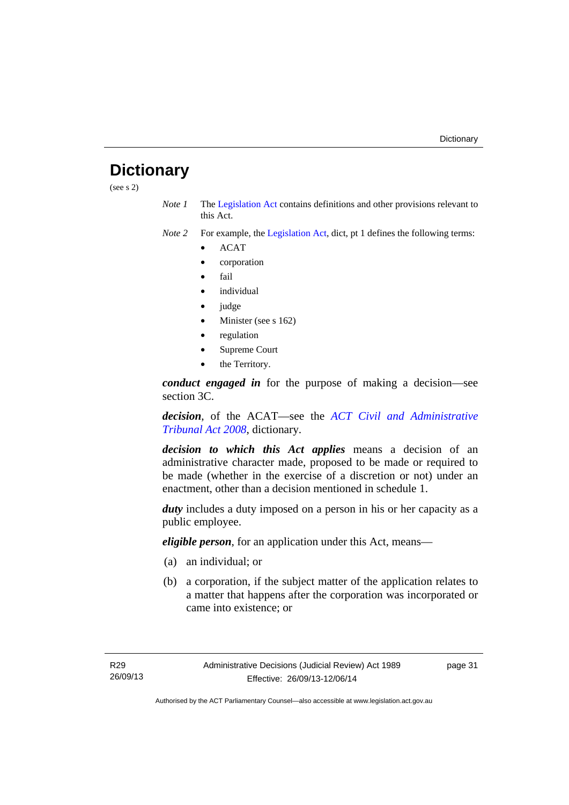# <span id="page-34-0"></span>**Dictionary**

(see s 2)

*Note 1* The [Legislation Act](http://www.legislation.act.gov.au/a/2001-14) contains definitions and other provisions relevant to this Act.

*Note 2* For example, the [Legislation Act,](http://www.legislation.act.gov.au/a/2001-14) dict, pt 1 defines the following terms:

- ACAT
- corporation
- fail
- *individual*
- judge
- Minister (see s 162)
- regulation
- Supreme Court
- the Territory.

*conduct engaged in* for the purpose of making a decision—see section 3C.

*decision*, of the ACAT—see the *[ACT Civil and Administrative](http://www.legislation.act.gov.au/a/2008-35)  [Tribunal Act 2008](http://www.legislation.act.gov.au/a/2008-35)*, dictionary.

*decision to which this Act applies* means a decision of an administrative character made, proposed to be made or required to be made (whether in the exercise of a discretion or not) under an enactment, other than a decision mentioned in schedule 1.

*duty* includes a duty imposed on a person in his or her capacity as a public employee.

*eligible person*, for an application under this Act, means—

- (a) an individual; or
- (b) a corporation, if the subject matter of the application relates to a matter that happens after the corporation was incorporated or came into existence; or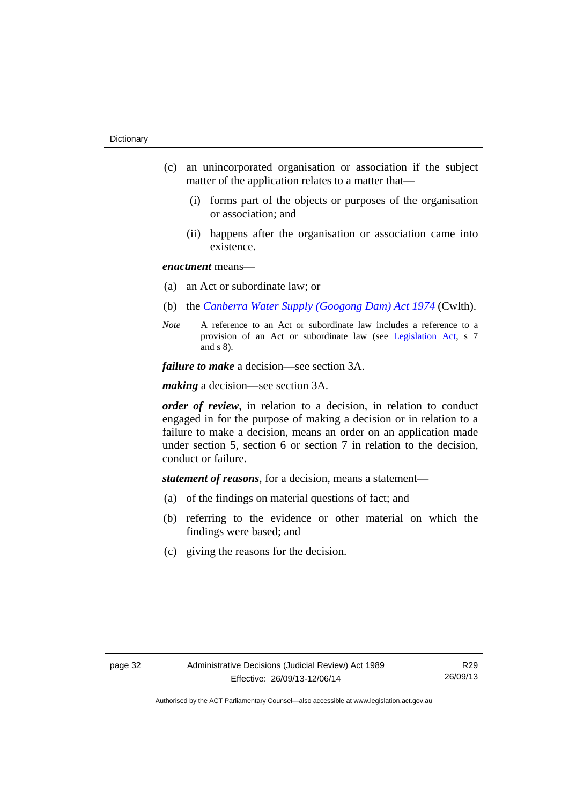- (c) an unincorporated organisation or association if the subject matter of the application relates to a matter that—
	- (i) forms part of the objects or purposes of the organisation or association; and
	- (ii) happens after the organisation or association came into existence.

## *enactment* means—

- (a) an Act or subordinate law; or
- (b) the *[Canberra Water Supply \(Googong Dam\) Act 1974](http://www.comlaw.gov.au/Details/C2008C00317)* (Cwlth).
- *Note* A reference to an Act or subordinate law includes a reference to a provision of an Act or subordinate law (see [Legislation Act](http://www.legislation.act.gov.au/a/2001-14), s 7 and s 8).

*failure to make* a decision—see section 3A.

*making* a decision—see section 3A.

*order of review*, in relation to a decision, in relation to conduct engaged in for the purpose of making a decision or in relation to a failure to make a decision, means an order on an application made under section 5, section 6 or section 7 in relation to the decision, conduct or failure.

*statement of reasons*, for a decision, means a statement—

- (a) of the findings on material questions of fact; and
- (b) referring to the evidence or other material on which the findings were based; and
- (c) giving the reasons for the decision.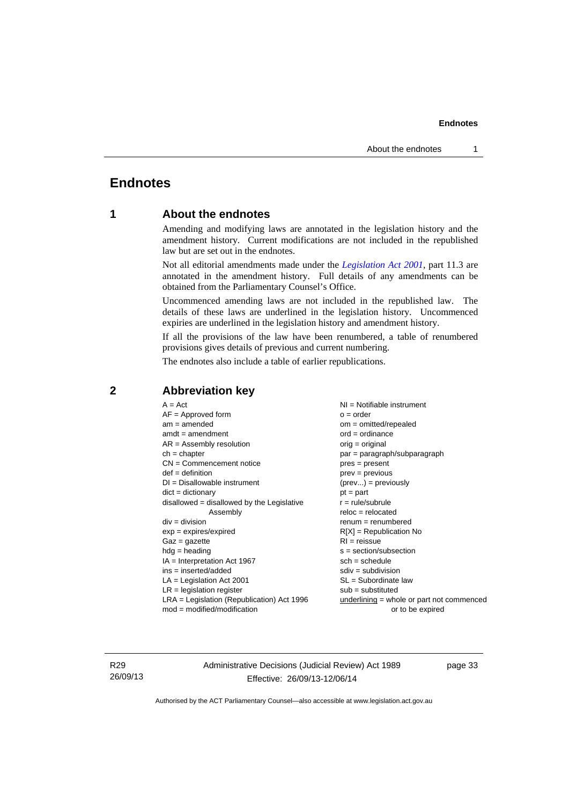# <span id="page-36-0"></span>**Endnotes**

# **1 About the endnotes**

Amending and modifying laws are annotated in the legislation history and the amendment history. Current modifications are not included in the republished law but are set out in the endnotes.

Not all editorial amendments made under the *[Legislation Act 2001](http://www.legislation.act.gov.au/a/2001-14)*, part 11.3 are annotated in the amendment history. Full details of any amendments can be obtained from the Parliamentary Counsel's Office.

Uncommenced amending laws are not included in the republished law. The details of these laws are underlined in the legislation history. Uncommenced expiries are underlined in the legislation history and amendment history.

If all the provisions of the law have been renumbered, a table of renumbered provisions gives details of previous and current numbering.

The endnotes also include a table of earlier republications.

| $A = Act$                                    | $NI = Notifiable$ instrument                |
|----------------------------------------------|---------------------------------------------|
| $AF =$ Approved form                         | $o = order$                                 |
| $am = amended$                               | $om = omitted/repealed$                     |
| $amdt = amendment$                           | $ord = ordinance$                           |
| $AR = Assembly resolution$                   | $orig = original$                           |
| $ch = chapter$                               | par = paragraph/subparagraph                |
| $CN =$ Commencement notice                   | $pres = present$                            |
| $def = definition$                           | $prev = previous$                           |
| $DI = Disallowable instrument$               | $(\text{prev}) = \text{previously}$         |
| $dict = dictionary$                          | $pt = part$                                 |
| $disallowed = disallowed by the Legislative$ | $r = rule/subrule$                          |
| Assembly                                     | $reloc = relocated$                         |
| $div = division$                             | $renum = renumbered$                        |
| $exp = expires/expired$                      | $R[X]$ = Republication No                   |
| $Gaz = gazette$                              | $RI = reissue$                              |
| $hdg =$ heading                              | $s = section/subsection$                    |
| $IA = Interpretation Act 1967$               | $sch = schedule$                            |
| $ins = inserted/added$                       | $sdiv = subdivision$                        |
| $LA =$ Legislation Act 2001                  | $SL = Subordinate$ law                      |
| $LR =$ legislation register                  | $sub =$ substituted                         |
| $LRA =$ Legislation (Republication) Act 1996 | $underlining = whole or part not commenced$ |
| $mod = modified/modification$                | or to be expired                            |
|                                              |                                             |

# <span id="page-36-2"></span>**2 Abbreviation key**

R29 26/09/13 Administrative Decisions (Judicial Review) Act 1989 Effective: 26/09/13-12/06/14

page 33

<span id="page-36-1"></span>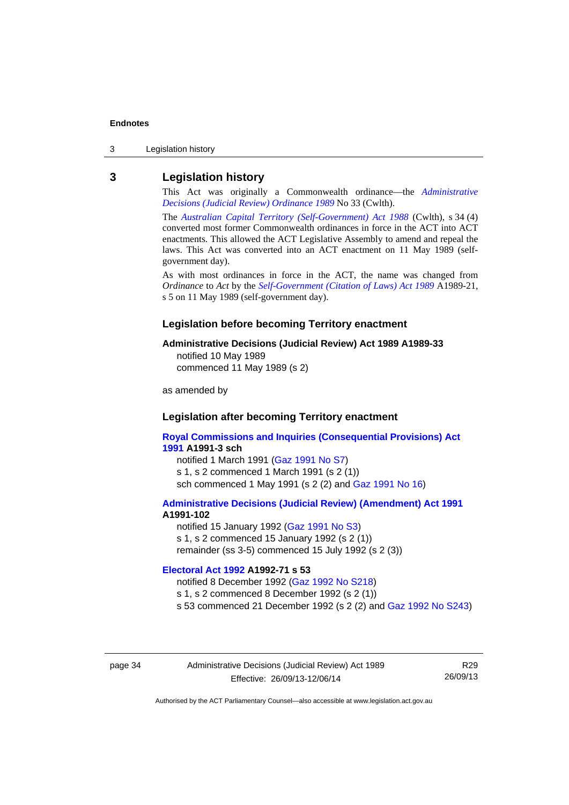3 Legislation history

### <span id="page-37-0"></span>**3 Legislation history**

This Act was originally a Commonwealth ordinance—the *[Administrative](http://www.legislation.act.gov.au/a/alt_a1989-33co)  [Decisions \(Judicial Review\) Ordinance 1989](http://www.legislation.act.gov.au/a/alt_a1989-33co)* No 33 (Cwlth).

The *[Australian Capital Territory \(Self-Government\) Act 1988](http://www.comlaw.gov.au/Current/C2004A03699)* (Cwlth), s 34 (4) converted most former Commonwealth ordinances in force in the ACT into ACT enactments. This allowed the ACT Legislative Assembly to amend and repeal the laws. This Act was converted into an ACT enactment on 11 May 1989 (selfgovernment day).

As with most ordinances in force in the ACT, the name was changed from *Ordinance* to *Act* by the *[Self-Government \(Citation of Laws\) Act 1989](http://www.legislation.act.gov.au/a/alt_ord1989-21/default.asp)* A1989-21, s 5 on 11 May 1989 (self-government day).

#### **Legislation before becoming Territory enactment**

#### **Administrative Decisions (Judicial Review) Act 1989 A1989-33**

notified 10 May 1989 commenced 11 May 1989 (s 2)

as amended by

#### **Legislation after becoming Territory enactment**

**[Royal Commissions and Inquiries \(Consequential Provisions\) Act](http://www.legislation.act.gov.au/a/1991-3)  [1991](http://www.legislation.act.gov.au/a/1991-3) A1991-3 sch**  notified 1 March 1991 [\(Gaz 1991 No S7](http://www.legislation.act.gov.au/gaz/1991-S7/default.asp)) s 1, s 2 commenced 1 March 1991 (s 2 (1))

sch commenced 1 May 1991 (s 2 (2) and [Gaz 1991 No 16](http://www.legislation.act.gov.au/gaz/1991-16/default.asp))

#### **[Administrative Decisions \(Judicial Review\) \(Amendment\) Act 1991](http://www.legislation.act.gov.au/a/1991-102) A1991-102**

notified 15 January 1992 ([Gaz 1991 No S3\)](http://www.legislation.act.gov.au/gaz/1991-S3/default.asp) s 1, s 2 commenced 15 January 1992 (s 2 (1)) remainder (ss 3-5) commenced 15 July 1992 (s 2 (3))

### **[Electoral Act 1992](http://www.legislation.act.gov.au/a/1992-71) A1992-71 s 53**

notified 8 December 1992 ([Gaz 1992 No S218\)](http://www.legislation.act.gov.au/gaz/1992-S218/default.asp) s 1, s 2 commenced 8 December 1992 (s 2 (1)) s 53 commenced 21 December 1992 (s 2 (2) and [Gaz 1992 No S243\)](http://www.legislation.act.gov.au/gaz/1992-S243/default.asp)

page 34 Administrative Decisions (Judicial Review) Act 1989 Effective: 26/09/13-12/06/14

R29 26/09/13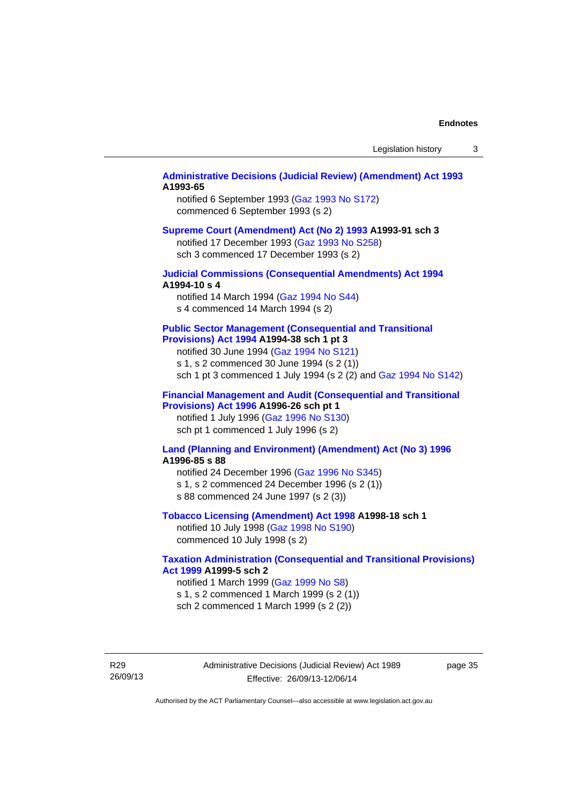#### **[Administrative Decisions \(Judicial Review\) \(Amendment\) Act 1993](http://www.legislation.act.gov.au/a/1993-65) A1993-65**

notified 6 September 1993 [\(Gaz 1993 No S172\)](http://www.legislation.act.gov.au/gaz/1993-S172/default.asp) commenced 6 September 1993 (s 2)

#### **[Supreme Court \(Amendment\) Act \(No 2\) 1993](http://www.legislation.act.gov.au/a/1993-91) A1993-91 sch 3**

notified 17 December 1993 [\(Gaz 1993 No S258](http://www.legislation.act.gov.au/gaz/1993-S258/default.asp)) sch 3 commenced 17 December 1993 (s 2)

#### **[Judicial Commissions \(Consequential Amendments\) Act 1994](http://www.legislation.act.gov.au/a/1994-10) A1994-10 s 4**

notified 14 March 1994 ([Gaz 1994 No S44](http://www.legislation.act.gov.au/gaz/1994-S44/default.asp)) s 4 commenced 14 March 1994 (s 2)

#### **[Public Sector Management \(Consequential and Transitional](http://www.legislation.act.gov.au/a/1994-38)  [Provisions\) Act 1994](http://www.legislation.act.gov.au/a/1994-38) A1994-38 sch 1 pt 3**

notified 30 June 1994 ([Gaz 1994 No S121\)](http://www.legislation.act.gov.au/gaz/1994-S121/default.asp)

s 1, s 2 commenced 30 June 1994 (s 2 (1))

sch 1 pt 3 commenced 1 July 1994 (s 2 (2) and [Gaz 1994 No S142](http://www.legislation.act.gov.au/gaz/1994-S142/default.asp))

#### **[Financial Management and Audit \(Consequential and Transitional](http://www.legislation.act.gov.au/a/1996-26)  [Provisions\) Act 1996](http://www.legislation.act.gov.au/a/1996-26) A1996-26 sch pt 1**

notified 1 July 1996 [\(Gaz 1996 No S130](http://www.legislation.act.gov.au/gaz/1996-S130/default.asp)) sch pt 1 commenced 1 July 1996 (s 2)

#### **[Land \(Planning and Environment\) \(Amendment\) Act \(No 3\) 1996](http://www.legislation.act.gov.au/a/1996-85) A1996-85 s 88**

notified 24 December 1996 [\(Gaz 1996 No S345](http://www.legislation.act.gov.au/gaz/1996-S345/default.asp)) s 1, s 2 commenced 24 December 1996 (s 2 (1)) s 88 commenced 24 June 1997 (s 2 (3))

#### **[Tobacco Licensing \(Amendment\) Act 1998](http://www.legislation.act.gov.au/a/1998-18) A1998-18 sch 1**

notified 10 July 1998 ([Gaz 1998 No S190\)](http://www.legislation.act.gov.au/gaz/1998-S190/default.asp) commenced 10 July 1998 (s 2)

#### **[Taxation Administration \(Consequential and Transitional Provisions\)](http://www.legislation.act.gov.au/a/1999-5)  [Act 1999](http://www.legislation.act.gov.au/a/1999-5) A1999-5 sch 2**

notified 1 March 1999 [\(Gaz 1999 No S8](http://www.legislation.act.gov.au/gaz/1999-S8/default.asp)) s 1, s 2 commenced 1 March 1999 (s 2 (1)) sch 2 commenced 1 March 1999 (s 2 (2))

R29 26/09/13 Administrative Decisions (Judicial Review) Act 1989 Effective: 26/09/13-12/06/14

page 35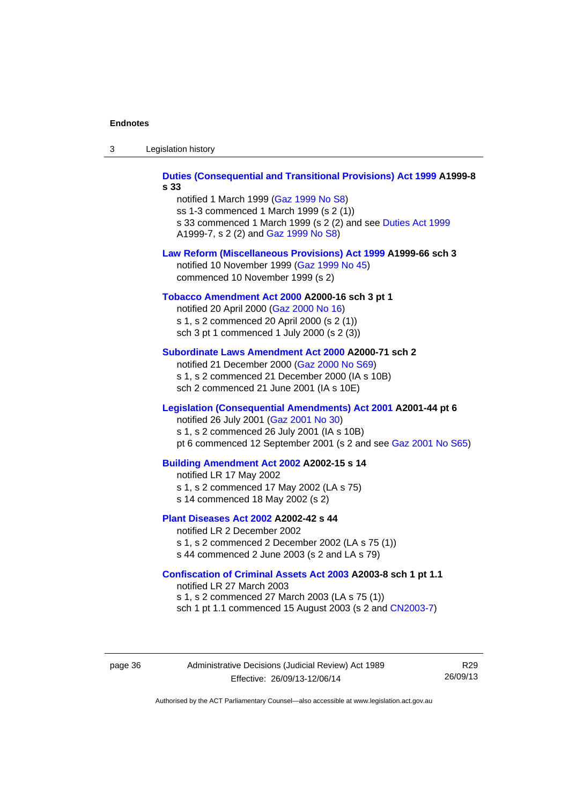| -3 | Legislation history |  |
|----|---------------------|--|
|----|---------------------|--|

**[Duties \(Consequential and Transitional Provisions\) Act 1999](http://www.legislation.act.gov.au/a/1999-8) A1999-8 s 33** 

notified 1 March 1999 [\(Gaz 1999 No S8](http://www.legislation.act.gov.au/gaz/1999-S8/default.asp)) ss 1-3 commenced 1 March 1999 (s 2 (1)) s 33 commenced 1 March 1999 (s 2 (2) and see [Duties Act 1999](http://www.legislation.act.gov.au/a/1999-7) A1999-7, s 2 (2) and [Gaz 1999 No S8\)](http://www.legislation.act.gov.au/gaz/1999-S8/default.asp)

#### **[Law Reform \(Miscellaneous Provisions\) Act 1999](http://www.legislation.act.gov.au/a/1999-66) A1999-66 sch 3**  notified 10 November 1999 [\(Gaz 1999 No 45](http://www.legislation.act.gov.au/gaz/1999-45/default.asp))

commenced 10 November 1999 (s 2)

#### **[Tobacco Amendment Act 2000](http://www.legislation.act.gov.au/a/2000-16) A2000-16 sch 3 pt 1**

notified 20 April 2000 [\(Gaz 2000 No 16\)](http://www.legislation.act.gov.au/gaz/2000-16/default.asp) s 1, s 2 commenced 20 April 2000 (s 2 (1)) sch 3 pt 1 commenced 1 July 2000 (s 2 (3))

#### **[Subordinate Laws Amendment Act 2000](http://www.legislation.act.gov.au/a/2000-71) A2000-71 sch 2**

notified 21 December 2000 [\(Gaz 2000 No S69\)](http://www.legislation.act.gov.au/gaz/2000-S69/default.asp) s 1, s 2 commenced 21 December 2000 (IA s 10B) sch 2 commenced 21 June 2001 (IA s 10E)

#### **[Legislation \(Consequential Amendments\) Act 2001](http://www.legislation.act.gov.au/a/2001-44) A2001-44 pt 6**

notified 26 July 2001 ([Gaz 2001 No 30\)](http://www.legislation.act.gov.au/gaz/2001-30/default.asp)

s 1, s 2 commenced 26 July 2001 (IA s 10B)

pt 6 commenced 12 September 2001 (s 2 and see [Gaz 2001 No S65\)](http://www.legislation.act.gov.au/gaz/2001-S65/default.asp)

#### **[Building Amendment Act 2002](http://www.legislation.act.gov.au/a/2002-15) A2002-15 s 14**

notified LR 17 May 2002

- s 1, s 2 commenced 17 May 2002 (LA s 75)
- s 14 commenced 18 May 2002 (s 2)

#### **[Plant Diseases Act 2002](http://www.legislation.act.gov.au/a/2002-42) A2002-42 s 44**

notified LR 2 December 2002 s 1, s 2 commenced 2 December 2002 (LA s 75 (1)) s 44 commenced 2 June 2003 (s 2 and LA s 79)

**[Confiscation of Criminal Assets Act 2003](http://www.legislation.act.gov.au/a/2003-8) A2003-8 sch 1 pt 1.1** 

notified LR 27 March 2003 s 1, s 2 commenced 27 March 2003 (LA s 75 (1)) sch 1 pt 1.1 commenced 15 August 2003 (s 2 and [CN2003-7](http://www.legislation.act.gov.au/cn/2003-7/default.asp))

page 36 Administrative Decisions (Judicial Review) Act 1989 Effective: 26/09/13-12/06/14

R29 26/09/13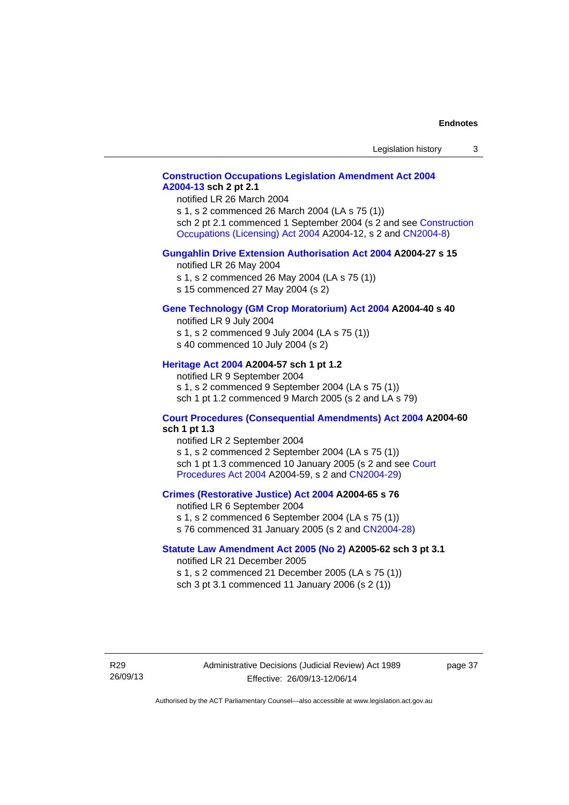# **[Construction Occupations Legislation Amendment Act 2004](http://www.legislation.act.gov.au/a/2004-13)  [A2004-13](http://www.legislation.act.gov.au/a/2004-13) sch 2 pt 2.1**

notified LR 26 March 2004

s 1, s 2 commenced 26 March 2004 (LA s 75 (1)) sch 2 pt 2.1 commenced 1 September 2004 (s 2 and see [Construction](http://www.legislation.act.gov.au/a/2004-12)  [Occupations \(Licensing\) Act 2004](http://www.legislation.act.gov.au/a/2004-12) A2004-12, s 2 and [CN2004-8\)](http://www.legislation.act.gov.au/cn/2004-8/default.asp)

#### **[Gungahlin Drive Extension Authorisation Act 2004](http://www.legislation.act.gov.au/a/2004-27) A2004-27 s 15**

notified LR 26 May 2004

- s 1, s 2 commenced 26 May 2004 (LA s 75 (1))
- s 15 commenced 27 May 2004 (s 2)

#### **[Gene Technology \(GM Crop Moratorium\) Act 2004](http://www.legislation.act.gov.au/a/2004-40) A2004-40 s 40**

notified LR 9 July 2004

- s 1, s 2 commenced 9 July 2004 (LA s 75 (1)) s 40 commenced 10 July 2004 (s 2)
- 

#### **[Heritage Act 2004](http://www.legislation.act.gov.au/a/2004-57) A2004-57 sch 1 pt 1.2**

notified LR 9 September 2004 s 1, s 2 commenced 9 September 2004 (LA s 75 (1)) sch 1 pt 1.2 commenced 9 March 2005 (s 2 and LA s 79)

#### **[Court Procedures \(Consequential Amendments\) Act 2004](http://www.legislation.act.gov.au/a/2004-60) A2004-60 sch 1 pt 1.3**

notified LR 2 September 2004 s 1, s 2 commenced 2 September 2004 (LA s 75 (1)) sch 1 pt 1.3 commenced 10 January 2005 (s 2 and see [Court](http://www.legislation.act.gov.au/a/2004-59)  [Procedures Act 2004](http://www.legislation.act.gov.au/a/2004-59) A2004-59, s 2 and [CN2004-29\)](http://www.legislation.act.gov.au/cn/2004-29/default.asp)

#### **[Crimes \(Restorative Justice\) Act 2004](http://www.legislation.act.gov.au/a/2004-65) A2004-65 s 76**

notified LR 6 September 2004 s 1, s 2 commenced 6 September 2004 (LA s 75 (1)) s 76 commenced 31 January 2005 (s 2 and [CN2004-28](http://www.legislation.act.gov.au/cn/2004-28/default.asp))

#### **[Statute Law Amendment Act 2005 \(No 2\)](http://www.legislation.act.gov.au/a/2005-62) A2005-62 sch 3 pt 3.1**

notified LR 21 December 2005 s 1, s 2 commenced 21 December 2005 (LA s 75 (1)) sch 3 pt 3.1 commenced 11 January 2006 (s 2 (1))

R29 26/09/13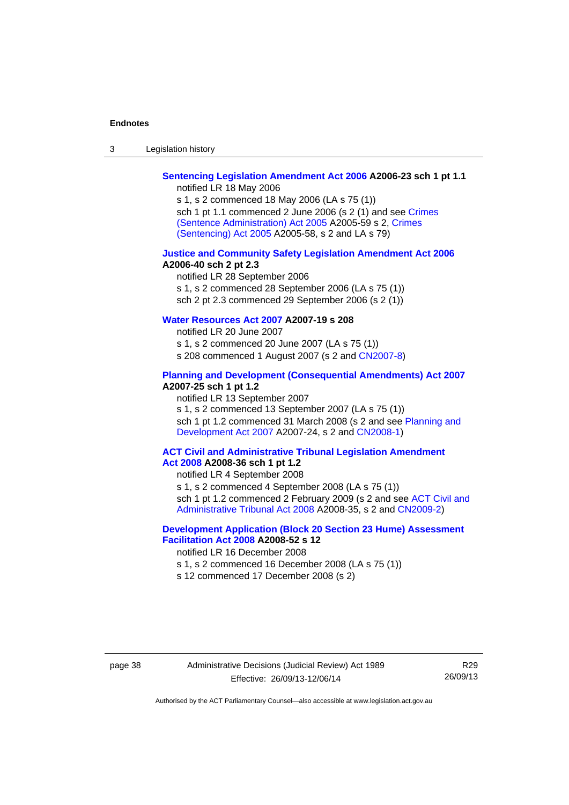| $\sqrt{2}$<br>- 3 | Legislation history |  |
|-------------------|---------------------|--|
|-------------------|---------------------|--|

# **[Sentencing Legislation Amendment Act 2006](http://www.legislation.act.gov.au/a/2006-23) A2006-23 sch 1 pt 1.1**

notified LR 18 May 2006

s 1, s 2 commenced 18 May 2006 (LA s 75 (1)) sch 1 pt 1.1 commenced 2 June 2006 (s 2 (1) and see [Crimes](http://www.legislation.act.gov.au/a/2005-59)  [\(Sentence Administration\) Act 2005](http://www.legislation.act.gov.au/a/2005-59) A2005-59 s 2, [Crimes](http://www.legislation.act.gov.au/a/2005-58)  [\(Sentencing\) Act 2005](http://www.legislation.act.gov.au/a/2005-58) A2005-58, s 2 and LA s 79)

#### **[Justice and Community Safety Legislation Amendment Act 2006](http://www.legislation.act.gov.au/a/2006-40) A2006-40 sch 2 pt 2.3**

notified LR 28 September 2006 s 1, s 2 commenced 28 September 2006 (LA s 75 (1)) sch 2 pt 2.3 commenced 29 September 2006 (s 2 (1))

# **[Water Resources Act 2007](http://www.legislation.act.gov.au/a/2007-19) A2007-19 s 208**

notified LR 20 June 2007 s 1, s 2 commenced 20 June 2007 (LA s 75 (1)) s 208 commenced 1 August 2007 (s 2 and [CN2007-8](http://www.legislation.act.gov.au/cn/2007-8/default.asp))

#### **[Planning and Development \(Consequential Amendments\) Act 2007](http://www.legislation.act.gov.au/a/2007-25) A2007-25 sch 1 pt 1.2**

notified LR 13 September 2007

s 1, s 2 commenced 13 September 2007 (LA s 75 (1)) sch 1 pt 1.2 commenced 31 March 2008 (s 2 and see Planning and [Development Act 2007](http://www.legislation.act.gov.au/a/2007-24) A2007-24, s 2 and [CN2008-1](http://www.legislation.act.gov.au/cn/2008-1/default.asp))

#### **[ACT Civil and Administrative Tribunal Legislation Amendment](http://www.legislation.act.gov.au/a/2008-36)  [Act 2008](http://www.legislation.act.gov.au/a/2008-36) A2008-36 sch 1 pt 1.2**

notified LR 4 September 2008

s 1, s 2 commenced 4 September 2008 (LA s 75 (1))

sch 1 pt 1.2 commenced 2 February 2009 (s 2 and see [ACT Civil and](http://www.legislation.act.gov.au/a/2008-35)  [Administrative Tribunal Act 2008](http://www.legislation.act.gov.au/a/2008-35) A2008-35, s 2 and [CN2009-2\)](http://www.legislation.act.gov.au/cn/2009-2/default.asp)

### **[Development Application \(Block 20 Section 23 Hume\) Assessment](http://www.legislation.act.gov.au/a/2008-52)  [Facilitation Act 2008](http://www.legislation.act.gov.au/a/2008-52) A2008-52 s 12**

notified LR 16 December 2008

- s 1, s 2 commenced 16 December 2008 (LA s 75 (1))
- s 12 commenced 17 December 2008 (s 2)

R29 26/09/13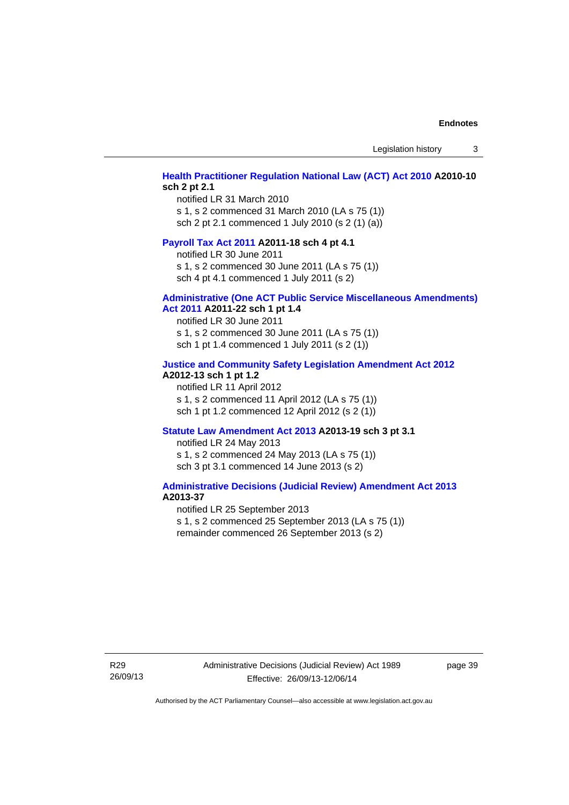Legislation history 3

#### **[Health Practitioner Regulation National Law \(ACT\) Act 2010](http://www.legislation.act.gov.au/a/2010-10) A2010-10 sch 2 pt 2.1**

notified LR 31 March 2010 s 1, s 2 commenced 31 March 2010 (LA s 75 (1)) sch 2 pt 2.1 commenced 1 July 2010 (s 2 (1) (a))

#### **[Payroll Tax Act 2011](http://www.legislation.act.gov.au/a/2011-18) A2011-18 sch 4 pt 4.1**

notified LR 30 June 2011 s 1, s 2 commenced 30 June 2011 (LA s 75 (1)) sch 4 pt 4.1 commenced 1 July 2011 (s 2)

#### **[Administrative \(One ACT Public Service Miscellaneous Amendments\)](http://www.legislation.act.gov.au/a/2011-22)**

#### **[Act 2011](http://www.legislation.act.gov.au/a/2011-22) A2011-22 sch 1 pt 1.4**

notified LR 30 June 2011 s 1, s 2 commenced 30 June 2011 (LA s 75 (1)) sch 1 pt 1.4 commenced 1 July 2011 (s 2 (1))

### **[Justice and Community Safety Legislation Amendment Act 2012](http://www.legislation.act.gov.au/a/2012-13)**

### **A2012-13 sch 1 pt 1.2**

notified LR 11 April 2012 s 1, s 2 commenced 11 April 2012 (LA s 75 (1)) sch 1 pt 1.2 commenced 12 April 2012 (s 2 (1))

#### **[Statute Law Amendment Act 2013](http://www.legislation.act.gov.au/a/2013-19) A2013-19 sch 3 pt 3.1**

notified LR 24 May 2013 s 1, s 2 commenced 24 May 2013 (LA s 75 (1)) sch 3 pt 3.1 commenced 14 June 2013 (s 2)

#### **[Administrative Decisions \(Judicial Review\) Amendment Act 2013](http://www.legislation.act.gov.au/a/2013-37) A2013-37**

notified LR 25 September 2013 s 1, s 2 commenced 25 September 2013 (LA s 75 (1)) remainder commenced 26 September 2013 (s 2)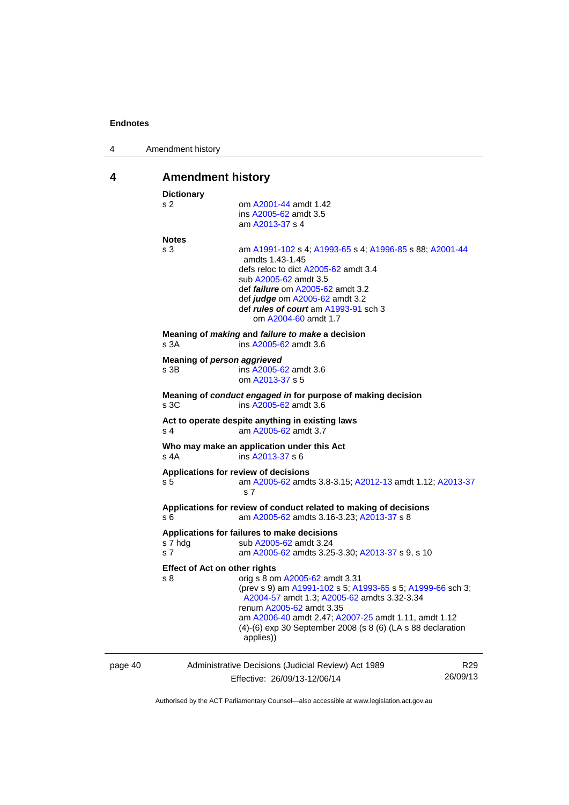|  | Amendment history |  |
|--|-------------------|--|
|--|-------------------|--|

# <span id="page-43-0"></span>**4 Amendment history**

|         | <b>Dictionary</b>                                                                             |                                                                                                                                                                                                                                                                                                                 |                             |  |  |
|---------|-----------------------------------------------------------------------------------------------|-----------------------------------------------------------------------------------------------------------------------------------------------------------------------------------------------------------------------------------------------------------------------------------------------------------------|-----------------------------|--|--|
|         | s 2                                                                                           | om A2001-44 amdt 1.42<br>ins A2005-62 amdt 3.5<br>am A2013-37 s 4                                                                                                                                                                                                                                               |                             |  |  |
|         | <b>Notes</b>                                                                                  |                                                                                                                                                                                                                                                                                                                 |                             |  |  |
|         | s 3                                                                                           | am A1991-102 s 4; A1993-65 s 4; A1996-85 s 88; A2001-44<br>amdts 1.43-1.45<br>defs reloc to dict A2005-62 amdt 3.4<br>sub A2005-62 amdt 3.5<br>def <i>failure</i> om A2005-62 amdt 3.2<br>def <i>judge</i> om A2005-62 amdt 3.2<br>def rules of court am A1993-91 sch 3<br>om A2004-60 amdt 1.7                 |                             |  |  |
|         | s 3A                                                                                          | Meaning of making and failure to make a decision<br>ins A2005-62 amdt 3.6                                                                                                                                                                                                                                       |                             |  |  |
|         | s 3B                                                                                          | Meaning of person aggrieved<br>ins A2005-62 amdt 3.6<br>om A2013-37 s 5                                                                                                                                                                                                                                         |                             |  |  |
|         | Meaning of conduct engaged in for purpose of making decision<br>s 3C<br>ins A2005-62 amdt 3.6 |                                                                                                                                                                                                                                                                                                                 |                             |  |  |
|         | s 4                                                                                           | Act to operate despite anything in existing laws<br>am A2005-62 amdt 3.7                                                                                                                                                                                                                                        |                             |  |  |
|         | s 4A                                                                                          | Who may make an application under this Act<br>ins A2013-37 s 6                                                                                                                                                                                                                                                  |                             |  |  |
|         | s 5                                                                                           | Applications for review of decisions<br>am A2005-62 amdts 3.8-3.15; A2012-13 amdt 1.12; A2013-37<br>s <sub>7</sub>                                                                                                                                                                                              |                             |  |  |
|         | s 6                                                                                           | Applications for review of conduct related to making of decisions<br>am A2005-62 amdts 3.16-3.23; A2013-37 s 8                                                                                                                                                                                                  |                             |  |  |
|         | s 7 hdg<br>s 7                                                                                | Applications for failures to make decisions<br>sub A2005-62 amdt 3.24<br>am A2005-62 amdts 3.25-3.30; A2013-37 s 9, s 10                                                                                                                                                                                        |                             |  |  |
|         | <b>Effect of Act on other rights</b>                                                          |                                                                                                                                                                                                                                                                                                                 |                             |  |  |
|         | s 8                                                                                           | orig s 8 om A2005-62 amdt 3.31<br>(prev s 9) am A1991-102 s 5; A1993-65 s 5; A1999-66 sch 3;<br>A2004-57 amdt 1.3; A2005-62 amdts 3.32-3.34<br>renum A2005-62 amdt 3.35<br>am A2006-40 amdt 2.47; A2007-25 amdt 1.11, amdt 1.12<br>$(4)-(6)$ exp 30 September 2008 (s 8 $(6)$ (LA s 88 declaration<br>applies)) |                             |  |  |
| page 40 |                                                                                               | Administrative Decisions (Judicial Review) Act 1989                                                                                                                                                                                                                                                             | R <sub>29</sub><br>26/09/13 |  |  |
|         |                                                                                               | Effective: 26/09/13-12/06/14                                                                                                                                                                                                                                                                                    |                             |  |  |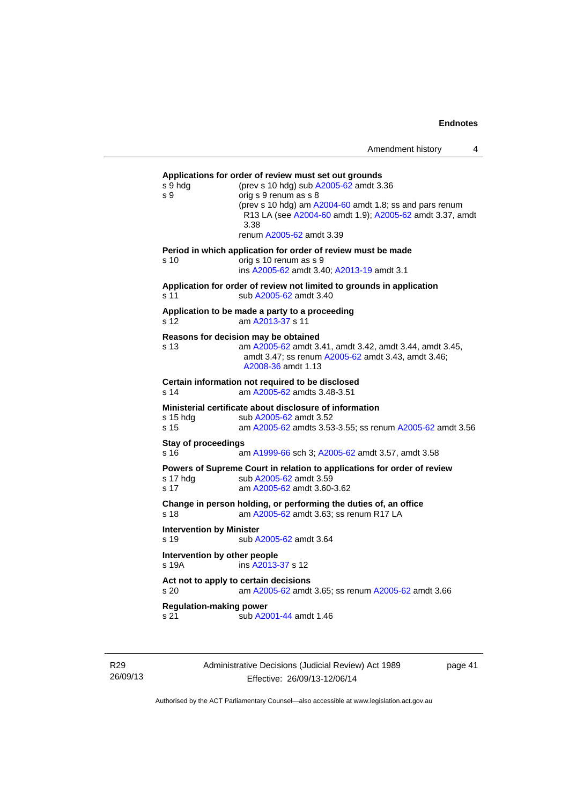| Amendment history |  |
|-------------------|--|
|-------------------|--|

**Applications for order of review must set out grounds**  s 9 hdg (prev s 10 hdg) sub [A2005-62](http://www.legislation.act.gov.au/a/2005-62) amdt 3.36 s 9 orig s 9 renum as s 8 (prev s 10 hdg) am [A2004-60](http://www.legislation.act.gov.au/a/2004-60) amdt 1.8; ss and pars renum R13 LA (see [A2004-60](http://www.legislation.act.gov.au/a/2004-60) amdt 1.9); [A2005-62](http://www.legislation.act.gov.au/a/2005-62) amdt 3.37, amdt 3.38 renum [A2005-62](http://www.legislation.act.gov.au/a/2005-62) amdt 3.39 **Period in which application for order of review must be made**  s 10 orig s 10 renum as s 9 ins [A2005-62](http://www.legislation.act.gov.au/a/2005-62) amdt 3.40; [A2013-19](http://www.legislation.act.gov.au/a/2013-19) amdt 3.1 **Application for order of review not limited to grounds in application**  s 11 sub [A2005-62](http://www.legislation.act.gov.au/a/2005-62) amdt 3.40 **Application to be made a party to a proceeding**  s 12 am [A2013-37](http://www.legislation.act.gov.au/a/2013-37) s 11 **Reasons for decision may be obtained**  s 13 am [A2005-62](http://www.legislation.act.gov.au/a/2005-62) amdt 3.41, amdt 3.42, amdt 3.44, amdt 3.45, amdt 3.47; ss renum [A2005-62](http://www.legislation.act.gov.au/a/2005-62) amdt 3.43, amdt 3.46; [A2008-36](http://www.legislation.act.gov.au/a/2008-36) amdt 1.13 **Certain information not required to be disclosed**  am [A2005-62](http://www.legislation.act.gov.au/a/2005-62) amdts 3.48-3.51 **Ministerial certificate about disclosure of information**  s 15 hdg sub [A2005-62](http://www.legislation.act.gov.au/a/2005-62) amdt 3.52 s 15 am [A2005-62](http://www.legislation.act.gov.au/a/2005-62) amdts 3.53-3.55; ss renum [A2005-62](http://www.legislation.act.gov.au/a/2005-62) amdt 3.56 **Stay of proceedings**  s 16 am [A1999-66](http://www.legislation.act.gov.au/a/1999-66) sch 3; [A2005-62](http://www.legislation.act.gov.au/a/2005-62) amdt 3.57, amdt 3.58 **Powers of Supreme Court in relation to applications for order of review**  s 17 hdg sub [A2005-62](http://www.legislation.act.gov.au/a/2005-62) amdt 3.59 s 17 am [A2005-62](http://www.legislation.act.gov.au/a/2005-62) amdt 3.60-3.62 **Change in person holding, or performing the duties of, an office**  s 18 **am [A2005-62](http://www.legislation.act.gov.au/a/2005-62)** amdt 3.63; ss renum R17 LA **Intervention by Minister**  s 19 sub [A2005-62](http://www.legislation.act.gov.au/a/2005-62) amdt 3.64 **Intervention by other people**  s 19A ins [A2013-37](http://www.legislation.act.gov.au/a/2013-37) s 12 **Act not to apply to certain decisions**  s 20 am [A2005-62](http://www.legislation.act.gov.au/a/2005-62) amdt 3.65; ss renum [A2005-62](http://www.legislation.act.gov.au/a/2005-62) amdt 3.66 **Regulation-making power**  s 21 sub [A2001-44](http://www.legislation.act.gov.au/a/2001-44) amdt 1.46

R29 26/09/13 Administrative Decisions (Judicial Review) Act 1989 Effective: 26/09/13-12/06/14

page 41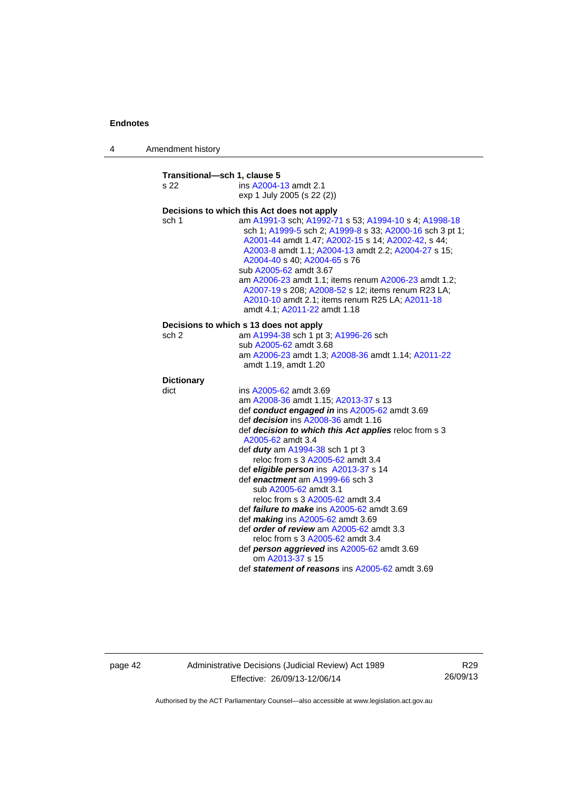4 Amendment history

| Transitional-sch 1, clause 5<br>s 22 | ins A2004-13 amdt 2.1                                                                                                                                                                                                                                                                                                                                                                                                                                                                     |  |  |
|--------------------------------------|-------------------------------------------------------------------------------------------------------------------------------------------------------------------------------------------------------------------------------------------------------------------------------------------------------------------------------------------------------------------------------------------------------------------------------------------------------------------------------------------|--|--|
|                                      | exp 1 July 2005 (s 22 (2))                                                                                                                                                                                                                                                                                                                                                                                                                                                                |  |  |
|                                      | Decisions to which this Act does not apply                                                                                                                                                                                                                                                                                                                                                                                                                                                |  |  |
| sch 1                                | am A1991-3 sch; A1992-71 s 53; A1994-10 s 4; A1998-18<br>sch 1; A1999-5 sch 2; A1999-8 s 33; A2000-16 sch 3 pt 1;<br>A2001-44 amdt 1.47; A2002-15 s 14; A2002-42, s 44;<br>A2003-8 amdt 1.1; A2004-13 amdt 2.2; A2004-27 s 15;<br>A2004-40 s 40; A2004-65 s 76<br>sub A2005-62 amdt 3.67<br>am A2006-23 amdt 1.1; items renum A2006-23 amdt 1.2;<br>A2007-19 s 208; A2008-52 s 12; items renum R23 LA;<br>A2010-10 amdt 2.1; items renum R25 LA; A2011-18<br>amdt 4.1: A2011-22 amdt 1.18 |  |  |
|                                      | Decisions to which s 13 does not apply                                                                                                                                                                                                                                                                                                                                                                                                                                                    |  |  |
| sch 2                                | am A1994-38 sch 1 pt 3; A1996-26 sch                                                                                                                                                                                                                                                                                                                                                                                                                                                      |  |  |
|                                      | sub A2005-62 amdt 3.68                                                                                                                                                                                                                                                                                                                                                                                                                                                                    |  |  |
|                                      | am A2006-23 amdt 1.3; A2008-36 amdt 1.14; A2011-22<br>amdt 1.19, amdt 1.20                                                                                                                                                                                                                                                                                                                                                                                                                |  |  |
| <b>Dictionary</b>                    |                                                                                                                                                                                                                                                                                                                                                                                                                                                                                           |  |  |
| dict                                 | ins A2005-62 amdt 3.69                                                                                                                                                                                                                                                                                                                                                                                                                                                                    |  |  |
|                                      | am A2008-36 amdt 1.15; A2013-37 s 13                                                                                                                                                                                                                                                                                                                                                                                                                                                      |  |  |
|                                      | def conduct engaged in ins A2005-62 amdt 3.69                                                                                                                                                                                                                                                                                                                                                                                                                                             |  |  |
|                                      | def decision ins A2008-36 amdt 1.16                                                                                                                                                                                                                                                                                                                                                                                                                                                       |  |  |
|                                      | def decision to which this Act applies reloc from s 3                                                                                                                                                                                                                                                                                                                                                                                                                                     |  |  |
|                                      | A2005-62 amdt 3.4                                                                                                                                                                                                                                                                                                                                                                                                                                                                         |  |  |
|                                      | def <i>duty</i> am $A1994-38$ sch 1 pt 3                                                                                                                                                                                                                                                                                                                                                                                                                                                  |  |  |
|                                      | reloc from s 3 A2005-62 amdt 3.4                                                                                                                                                                                                                                                                                                                                                                                                                                                          |  |  |
|                                      | def eligible person ins A2013-37 s 14                                                                                                                                                                                                                                                                                                                                                                                                                                                     |  |  |
|                                      | def enactment am A1999-66 sch 3                                                                                                                                                                                                                                                                                                                                                                                                                                                           |  |  |
|                                      | sub A2005-62 amdt 3.1                                                                                                                                                                                                                                                                                                                                                                                                                                                                     |  |  |
|                                      | reloc from s 3 A2005-62 amdt 3.4                                                                                                                                                                                                                                                                                                                                                                                                                                                          |  |  |
|                                      | def <i>failure to make</i> ins A2005-62 amdt 3.69                                                                                                                                                                                                                                                                                                                                                                                                                                         |  |  |
|                                      | def <i>making</i> ins A2005-62 amdt 3.69                                                                                                                                                                                                                                                                                                                                                                                                                                                  |  |  |
|                                      | def order of review am A2005-62 amdt 3.3                                                                                                                                                                                                                                                                                                                                                                                                                                                  |  |  |
|                                      | reloc from s 3 A2005-62 amdt 3.4                                                                                                                                                                                                                                                                                                                                                                                                                                                          |  |  |
|                                      | def person aggrieved ins A2005-62 amdt 3.69<br>om A2013-37 s 15                                                                                                                                                                                                                                                                                                                                                                                                                           |  |  |
|                                      | def statement of reasons ins A2005-62 amdt 3.69                                                                                                                                                                                                                                                                                                                                                                                                                                           |  |  |
|                                      |                                                                                                                                                                                                                                                                                                                                                                                                                                                                                           |  |  |

page 42 Administrative Decisions (Judicial Review) Act 1989 Effective: 26/09/13-12/06/14

R29 26/09/13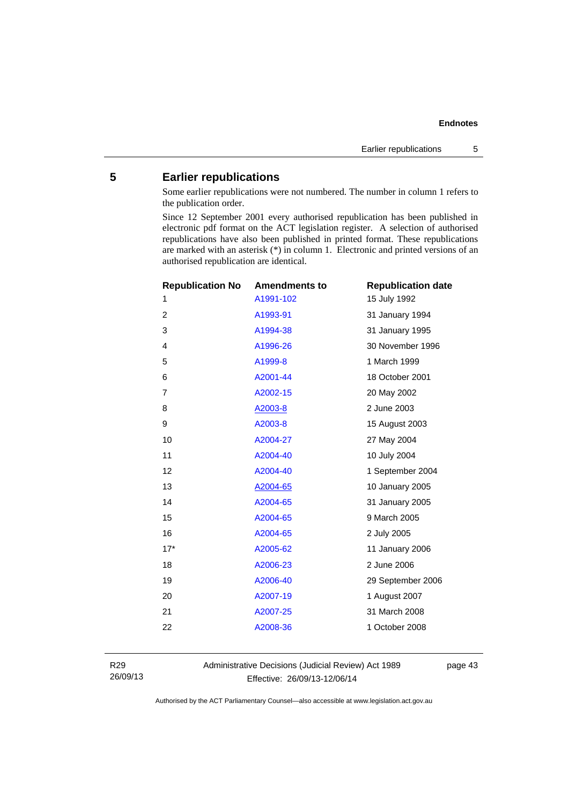# <span id="page-46-0"></span>**5 Earlier republications**

Some earlier republications were not numbered. The number in column 1 refers to the publication order.

Since 12 September 2001 every authorised republication has been published in electronic pdf format on the ACT legislation register. A selection of authorised republications have also been published in printed format. These republications are marked with an asterisk (\*) in column 1. Electronic and printed versions of an authorised republication are identical.

| <b>Republication No</b> | <b>Amendments to</b> | <b>Republication date</b> |
|-------------------------|----------------------|---------------------------|
| 1                       | A1991-102            | 15 July 1992              |
| $\overline{2}$          | A1993-91             | 31 January 1994           |
| 3                       | A1994-38             | 31 January 1995           |
| $\overline{4}$          | A1996-26             | 30 November 1996          |
| 5                       | A1999-8              | 1 March 1999              |
| 6                       | A2001-44             | 18 October 2001           |
| $\overline{7}$          | A2002-15             | 20 May 2002               |
| 8                       | A2003-8              | 2 June 2003               |
| 9                       | A2003-8              | 15 August 2003            |
| 10                      | A2004-27             | 27 May 2004               |
| 11                      | A2004-40             | 10 July 2004              |
| 12                      | A2004-40             | 1 September 2004          |
| 13                      | A2004-65             | 10 January 2005           |
| 14                      | A2004-65             | 31 January 2005           |
| 15                      | A2004-65             | 9 March 2005              |
| 16                      | A2004-65             | 2 July 2005               |
| $17*$                   | A2005-62             | 11 January 2006           |
| 18                      | A2006-23             | 2 June 2006               |
| 19                      | A2006-40             | 29 September 2006         |
| 20                      | A2007-19             | 1 August 2007             |
| 21                      | A2007-25             | 31 March 2008             |
| 22                      | A2008-36             | 1 October 2008            |
|                         |                      |                           |

R29 26/09/13 Administrative Decisions (Judicial Review) Act 1989 Effective: 26/09/13-12/06/14

page 43